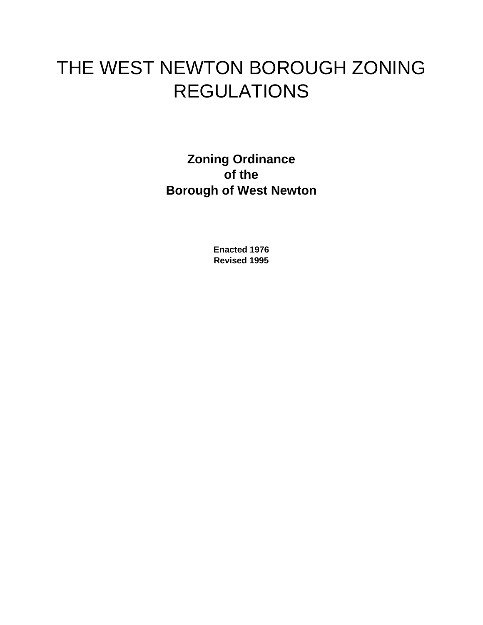# THE WEST NEWTON BOROUGH ZONING REGULATIONS

**Zoning Ordinance of the Borough of West Newton**

> **Enacted 1976 Revised 1995**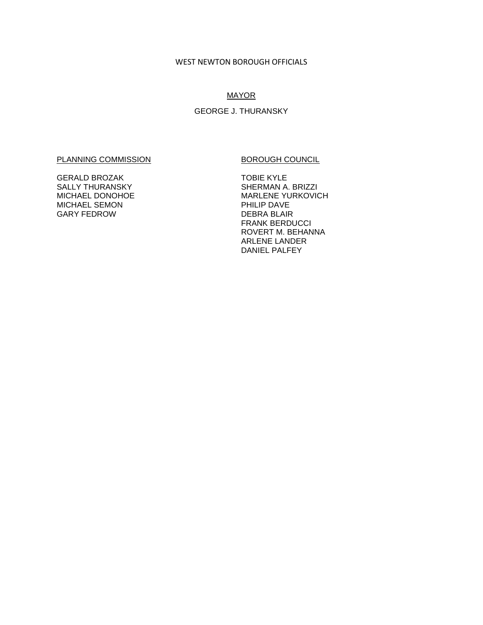#### WEST NEWTON BOROUGH OFFICIALS

# **MAYOR**

# GEORGE J. THURANSKY

#### PLANNING COMMISSION BOROUGH COUNCIL

GERALD BROZAK SALLY THURANSKY MICHAEL DONOHOE MICHAEL SEMON GARY FEDROW

TOBIE KYLE SHERMAN A. BRIZZI MARLENE YURKOVICH PHILIP DAVE DEBRA BLAIR FRANK BERDUCCI ROVERT M. BEHANNA ARLENE LANDER DANIEL PALFEY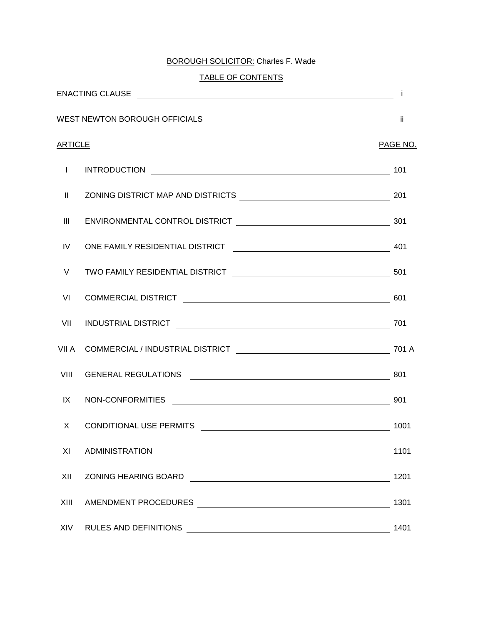# BOROUGH SOLICITOR: Charles F. Wade

# TABLE OF CONTENTS

| <b>ARTICLE</b> |                                                                                                                     | PAGE NO. |
|----------------|---------------------------------------------------------------------------------------------------------------------|----------|
|                |                                                                                                                     |          |
|                |                                                                                                                     |          |
| Ш              |                                                                                                                     |          |
| IV             |                                                                                                                     |          |
| V              |                                                                                                                     |          |
| VI             |                                                                                                                     |          |
|                |                                                                                                                     |          |
|                |                                                                                                                     |          |
| VIII           |                                                                                                                     |          |
|                |                                                                                                                     |          |
| $X \equiv$     |                                                                                                                     |          |
| ΧI             | <b>ADMINISTRATION</b><br><u> 1989 - Johann Stein, mars an deutscher Stein († 1989)</u>                              | 1101     |
| XII            | <b>ZONING HEARING BOARD AND READ ASSESSED ASSESSED ASSESSED AND READ ASSESSED AND READ ASSESSED AND READ ASSESS</b> | 1201     |
| XIII           |                                                                                                                     | 1301     |
| XIV            | <b>RULES AND DEFINITIONS</b>                                                                                        | 1401     |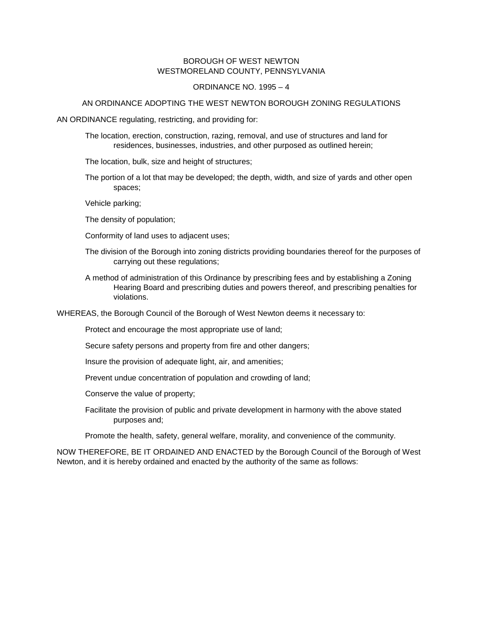# BOROUGH OF WEST NEWTON WESTMORELAND COUNTY, PENNSYLVANIA

#### ORDINANCE NO. 1995 – 4

#### AN ORDINANCE ADOPTING THE WEST NEWTON BOROUGH ZONING REGULATIONS

AN ORDINANCE regulating, restricting, and providing for:

The location, erection, construction, razing, removal, and use of structures and land for residences, businesses, industries, and other purposed as outlined herein;

The location, bulk, size and height of structures;

The portion of a lot that may be developed; the depth, width, and size of yards and other open spaces;

Vehicle parking;

The density of population;

Conformity of land uses to adjacent uses;

- The division of the Borough into zoning districts providing boundaries thereof for the purposes of carrying out these regulations;
- A method of administration of this Ordinance by prescribing fees and by establishing a Zoning Hearing Board and prescribing duties and powers thereof, and prescribing penalties for violations.

WHEREAS, the Borough Council of the Borough of West Newton deems it necessary to:

Protect and encourage the most appropriate use of land;

Secure safety persons and property from fire and other dangers;

Insure the provision of adequate light, air, and amenities;

Prevent undue concentration of population and crowding of land;

Conserve the value of property;

Facilitate the provision of public and private development in harmony with the above stated purposes and;

Promote the health, safety, general welfare, morality, and convenience of the community.

NOW THEREFORE, BE IT ORDAINED AND ENACTED by the Borough Council of the Borough of West Newton, and it is hereby ordained and enacted by the authority of the same as follows: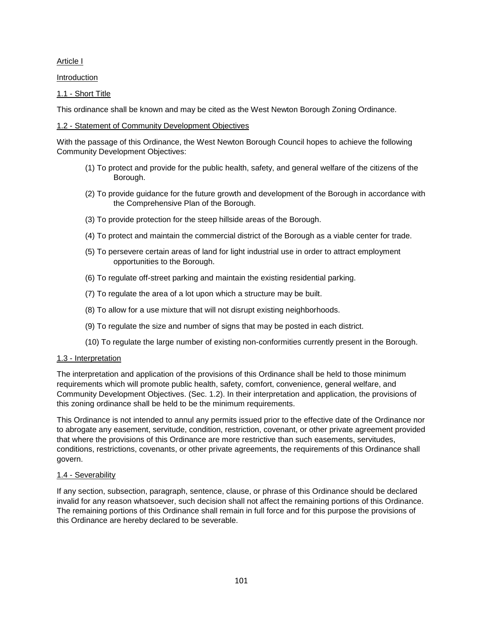# <span id="page-4-0"></span>Article I

Introduction

1.1 - Short Title

This ordinance shall be known and may be cited as the West Newton Borough Zoning Ordinance.

# 1.2 - Statement of Community Development Objectives

With the passage of this Ordinance, the West Newton Borough Council hopes to achieve the following Community Development Objectives:

- (1) To protect and provide for the public health, safety, and general welfare of the citizens of the Borough.
- (2) To provide guidance for the future growth and development of the Borough in accordance with the Comprehensive Plan of the Borough.
- (3) To provide protection for the steep hillside areas of the Borough.
- (4) To protect and maintain the commercial district of the Borough as a viable center for trade.
- (5) To persevere certain areas of land for light industrial use in order to attract employment opportunities to the Borough.
- (6) To regulate off-street parking and maintain the existing residential parking.
- (7) To regulate the area of a lot upon which a structure may be built.
- (8) To allow for a use mixture that will not disrupt existing neighborhoods.
- (9) To regulate the size and number of signs that may be posted in each district.
- (10) To regulate the large number of existing non-conformities currently present in the Borough.

# 1.3 - Interpretation

The interpretation and application of the provisions of this Ordinance shall be held to those minimum requirements which will promote public health, safety, comfort, convenience, general welfare, and Community Development Objectives. (Sec. 1.2). In their interpretation and application, the provisions of this zoning ordinance shall be held to be the minimum requirements.

This Ordinance is not intended to annul any permits issued prior to the effective date of the Ordinance nor to abrogate any easement, servitude, condition, restriction, covenant, or other private agreement provided that where the provisions of this Ordinance are more restrictive than such easements, servitudes, conditions, restrictions, covenants, or other private agreements, the requirements of this Ordinance shall govern.

# 1.4 - Severability

If any section, subsection, paragraph, sentence, clause, or phrase of this Ordinance should be declared invalid for any reason whatsoever, such decision shall not affect the remaining portions of this Ordinance. The remaining portions of this Ordinance shall remain in full force and for this purpose the provisions of this Ordinance are hereby declared to be severable.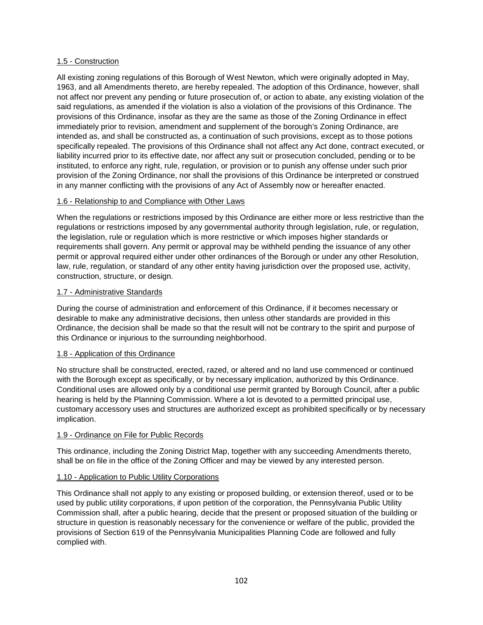# 1.5 - Construction

All existing zoning regulations of this Borough of West Newton, which were originally adopted in May, 1963, and all Amendments thereto, are hereby repealed. The adoption of this Ordinance, however, shall not affect nor prevent any pending or future prosecution of, or action to abate, any existing violation of the said regulations, as amended if the violation is also a violation of the provisions of this Ordinance. The provisions of this Ordinance, insofar as they are the same as those of the Zoning Ordinance in effect immediately prior to revision, amendment and supplement of the borough's Zoning Ordinance, are intended as, and shall be constructed as, a continuation of such provisions, except as to those potions specifically repealed. The provisions of this Ordinance shall not affect any Act done, contract executed, or liability incurred prior to its effective date, nor affect any suit or prosecution concluded, pending or to be instituted, to enforce any right, rule, regulation, or provision or to punish any offense under such prior provision of the Zoning Ordinance, nor shall the provisions of this Ordinance be interpreted or construed in any manner conflicting with the provisions of any Act of Assembly now or hereafter enacted.

#### 1.6 - Relationship to and Compliance with Other Laws

When the regulations or restrictions imposed by this Ordinance are either more or less restrictive than the regulations or restrictions imposed by any governmental authority through legislation, rule, or regulation, the legislation, rule or regulation which is more restrictive or which imposes higher standards or requirements shall govern. Any permit or approval may be withheld pending the issuance of any other permit or approval required either under other ordinances of the Borough or under any other Resolution, law, rule, regulation, or standard of any other entity having jurisdiction over the proposed use, activity, construction, structure, or design.

#### 1.7 - Administrative Standards

During the course of administration and enforcement of this Ordinance, if it becomes necessary or desirable to make any administrative decisions, then unless other standards are provided in this Ordinance, the decision shall be made so that the result will not be contrary to the spirit and purpose of this Ordinance or injurious to the surrounding neighborhood.

#### 1.8 - Application of this Ordinance

No structure shall be constructed, erected, razed, or altered and no land use commenced or continued with the Borough except as specifically, or by necessary implication, authorized by this Ordinance. Conditional uses are allowed only by a conditional use permit granted by Borough Council, after a public hearing is held by the Planning Commission. Where a lot is devoted to a permitted principal use, customary accessory uses and structures are authorized except as prohibited specifically or by necessary implication.

#### 1.9 - Ordinance on File for Public Records

This ordinance, including the Zoning District Map, together with any succeeding Amendments thereto, shall be on file in the office of the Zoning Officer and may be viewed by any interested person.

#### 1.10 - Application to Public Utility Corporations

This Ordinance shall not apply to any existing or proposed building, or extension thereof, used or to be used by public utility corporations, if upon petition of the corporation, the Pennsylvania Public Utility Commission shall, after a public hearing, decide that the present or proposed situation of the building or structure in question is reasonably necessary for the convenience or welfare of the public, provided the provisions of Section 619 of the Pennsylvania Municipalities Planning Code are followed and fully complied with.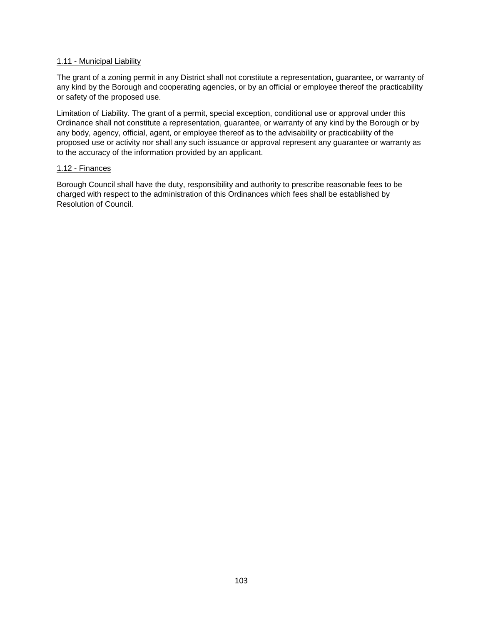#### 1.11 - Municipal Liability

The grant of a zoning permit in any District shall not constitute a representation, guarantee, or warranty of any kind by the Borough and cooperating agencies, or by an official or employee thereof the practicability or safety of the proposed use.

Limitation of Liability. The grant of a permit, special exception, conditional use or approval under this Ordinance shall not constitute a representation, guarantee, or warranty of any kind by the Borough or by any body, agency, official, agent, or employee thereof as to the advisability or practicability of the proposed use or activity nor shall any such issuance or approval represent any guarantee or warranty as to the accuracy of the information provided by an applicant.

#### 1.12 - Finances

Borough Council shall have the duty, responsibility and authority to prescribe reasonable fees to be charged with respect to the administration of this Ordinances which fees shall be established by Resolution of Council.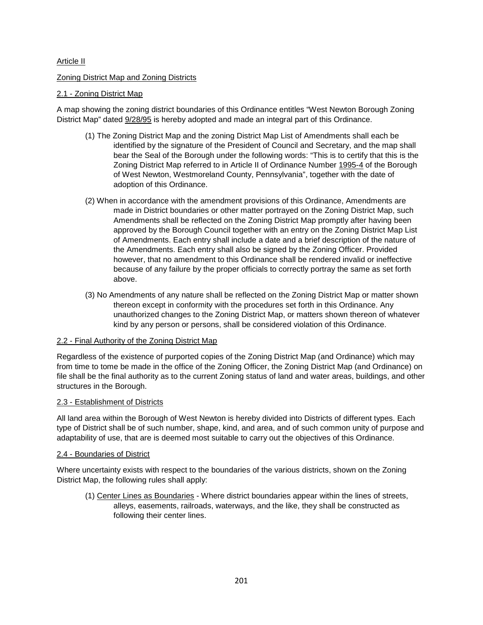# <span id="page-7-0"></span>Article II

# Zoning District Map and Zoning Districts

# 2.1 - Zoning District Map

A map showing the zoning district boundaries of this Ordinance entitles "West Newton Borough Zoning District Map" dated 9/28/95 is hereby adopted and made an integral part of this Ordinance.

- (1) The Zoning District Map and the zoning District Map List of Amendments shall each be identified by the signature of the President of Council and Secretary, and the map shall bear the Seal of the Borough under the following words: "This is to certify that this is the Zoning District Map referred to in Article II of Ordinance Number 1995-4 of the Borough of West Newton, Westmoreland County, Pennsylvania", together with the date of adoption of this Ordinance.
- (2) When in accordance with the amendment provisions of this Ordinance, Amendments are made in District boundaries or other matter portrayed on the Zoning District Map, such Amendments shall be reflected on the Zoning District Map promptly after having been approved by the Borough Council together with an entry on the Zoning District Map List of Amendments. Each entry shall include a date and a brief description of the nature of the Amendments. Each entry shall also be signed by the Zoning Officer. Provided however, that no amendment to this Ordinance shall be rendered invalid or ineffective because of any failure by the proper officials to correctly portray the same as set forth above.
- (3) No Amendments of any nature shall be reflected on the Zoning District Map or matter shown thereon except in conformity with the procedures set forth in this Ordinance. Any unauthorized changes to the Zoning District Map, or matters shown thereon of whatever kind by any person or persons, shall be considered violation of this Ordinance.

# 2.2 - Final Authority of the Zoning District Map

Regardless of the existence of purported copies of the Zoning District Map (and Ordinance) which may from time to tome be made in the office of the Zoning Officer, the Zoning District Map (and Ordinance) on file shall be the final authority as to the current Zoning status of land and water areas, buildings, and other structures in the Borough.

# 2.3 - Establishment of Districts

All land area within the Borough of West Newton is hereby divided into Districts of different types. Each type of District shall be of such number, shape, kind, and area, and of such common unity of purpose and adaptability of use, that are is deemed most suitable to carry out the objectives of this Ordinance.

#### 2.4 - Boundaries of District

Where uncertainty exists with respect to the boundaries of the various districts, shown on the Zoning District Map, the following rules shall apply:

(1) Center Lines as Boundaries - Where district boundaries appear within the lines of streets, alleys, easements, railroads, waterways, and the like, they shall be constructed as following their center lines.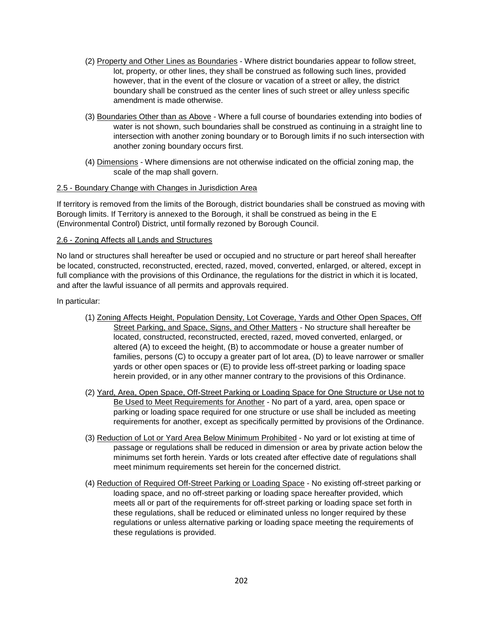- (2) Property and Other Lines as Boundaries Where district boundaries appear to follow street, lot, property, or other lines, they shall be construed as following such lines, provided however, that in the event of the closure or vacation of a street or alley, the district boundary shall be construed as the center lines of such street or alley unless specific amendment is made otherwise.
- (3) Boundaries Other than as Above Where a full course of boundaries extending into bodies of water is not shown, such boundaries shall be construed as continuing in a straight line to intersection with another zoning boundary or to Borough limits if no such intersection with another zoning boundary occurs first.
- (4) Dimensions Where dimensions are not otherwise indicated on the official zoning map, the scale of the map shall govern.

#### 2.5 - Boundary Change with Changes in Jurisdiction Area

If territory is removed from the limits of the Borough, district boundaries shall be construed as moving with Borough limits. If Territory is annexed to the Borough, it shall be construed as being in the E (Environmental Control) District, until formally rezoned by Borough Council.

#### 2.6 - Zoning Affects all Lands and Structures

No land or structures shall hereafter be used or occupied and no structure or part hereof shall hereafter be located, constructed, reconstructed, erected, razed, moved, converted, enlarged, or altered, except in full compliance with the provisions of this Ordinance, the regulations for the district in which it is located, and after the lawful issuance of all permits and approvals required.

#### In particular:

- (1) Zoning Affects Height, Population Density, Lot Coverage, Yards and Other Open Spaces, Off Street Parking, and Space, Signs, and Other Matters - No structure shall hereafter be located, constructed, reconstructed, erected, razed, moved converted, enlarged, or altered (A) to exceed the height, (B) to accommodate or house a greater number of families, persons (C) to occupy a greater part of lot area, (D) to leave narrower or smaller yards or other open spaces or (E) to provide less off-street parking or loading space herein provided, or in any other manner contrary to the provisions of this Ordinance.
- (2) Yard, Area, Open Space, Off-Street Parking or Loading Space for One Structure or Use not to Be Used to Meet Requirements for Another - No part of a yard, area, open space or parking or loading space required for one structure or use shall be included as meeting requirements for another, except as specifically permitted by provisions of the Ordinance.
- (3) Reduction of Lot or Yard Area Below Minimum Prohibited No yard or lot existing at time of passage or regulations shall be reduced in dimension or area by private action below the minimums set forth herein. Yards or lots created after effective date of regulations shall meet minimum requirements set herein for the concerned district.
- (4) Reduction of Required Off-Street Parking or Loading Space No existing off-street parking or loading space, and no off-street parking or loading space hereafter provided, which meets all or part of the requirements for off-street parking or loading space set forth in these regulations, shall be reduced or eliminated unless no longer required by these regulations or unless alternative parking or loading space meeting the requirements of these regulations is provided.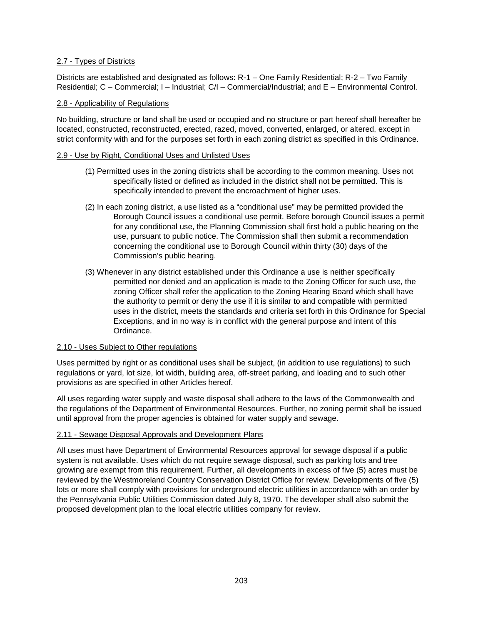# 2.7 - Types of Districts

Districts are established and designated as follows: R-1 – One Family Residential; R-2 – Two Family Residential; C – Commercial; I – Industrial; C/I – Commercial/Industrial; and E – Environmental Control.

#### 2.8 - Applicability of Regulations

No building, structure or land shall be used or occupied and no structure or part hereof shall hereafter be located, constructed, reconstructed, erected, razed, moved, converted, enlarged, or altered, except in strict conformity with and for the purposes set forth in each zoning district as specified in this Ordinance.

#### 2.9 - Use by Right, Conditional Uses and Unlisted Uses

- (1) Permitted uses in the zoning districts shall be according to the common meaning. Uses not specifically listed or defined as included in the district shall not be permitted. This is specifically intended to prevent the encroachment of higher uses.
- (2) In each zoning district, a use listed as a "conditional use" may be permitted provided the Borough Council issues a conditional use permit. Before borough Council issues a permit for any conditional use, the Planning Commission shall first hold a public hearing on the use, pursuant to public notice. The Commission shall then submit a recommendation concerning the conditional use to Borough Council within thirty (30) days of the Commission's public hearing.
- (3) Whenever in any district established under this Ordinance a use is neither specifically permitted nor denied and an application is made to the Zoning Officer for such use, the zoning Officer shall refer the application to the Zoning Hearing Board which shall have the authority to permit or deny the use if it is similar to and compatible with permitted uses in the district, meets the standards and criteria set forth in this Ordinance for Special Exceptions, and in no way is in conflict with the general purpose and intent of this Ordinance.

# 2.10 - Uses Subject to Other regulations

Uses permitted by right or as conditional uses shall be subject, (in addition to use regulations) to such regulations or yard, lot size, lot width, building area, off-street parking, and loading and to such other provisions as are specified in other Articles hereof.

All uses regarding water supply and waste disposal shall adhere to the laws of the Commonwealth and the regulations of the Department of Environmental Resources. Further, no zoning permit shall be issued until approval from the proper agencies is obtained for water supply and sewage.

#### 2.11 - Sewage Disposal Approvals and Development Plans

All uses must have Department of Environmental Resources approval for sewage disposal if a public system is not available. Uses which do not require sewage disposal, such as parking lots and tree growing are exempt from this requirement. Further, all developments in excess of five (5) acres must be reviewed by the Westmoreland Country Conservation District Office for review. Developments of five (5) lots or more shall comply with provisions for underground electric utilities in accordance with an order by the Pennsylvania Public Utilities Commission dated July 8, 1970. The developer shall also submit the proposed development plan to the local electric utilities company for review.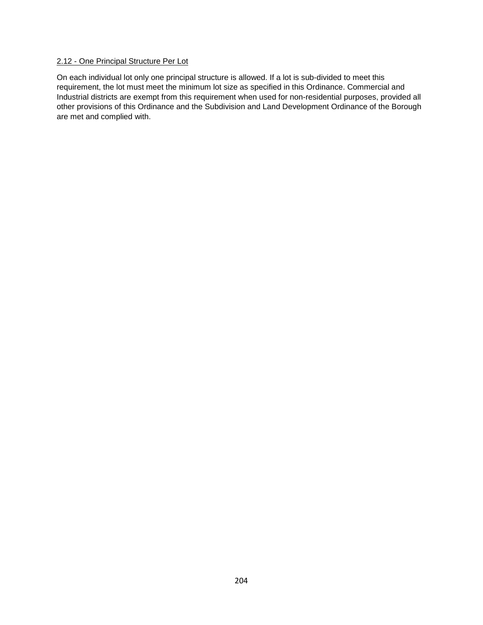# 2.12 - One Principal Structure Per Lot

On each individual lot only one principal structure is allowed. If a lot is sub-divided to meet this requirement, the lot must meet the minimum lot size as specified in this Ordinance. Commercial and Industrial districts are exempt from this requirement when used for non-residential purposes, provided all other provisions of this Ordinance and the Subdivision and Land Development Ordinance of the Borough are met and complied with.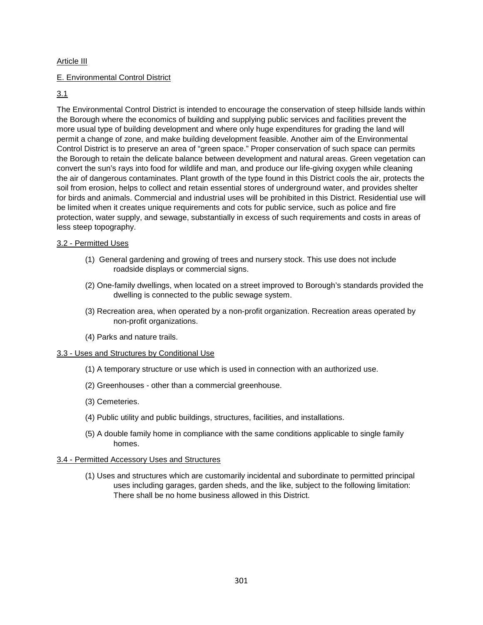# <span id="page-11-0"></span>Article III

# E. Environmental Control District

#### 3.1

The Environmental Control District is intended to encourage the conservation of steep hillside lands within the Borough where the economics of building and supplying public services and facilities prevent the more usual type of building development and where only huge expenditures for grading the land will permit a change of zone, and make building development feasible. Another aim of the Environmental Control District is to preserve an area of "green space." Proper conservation of such space can permits the Borough to retain the delicate balance between development and natural areas. Green vegetation can convert the sun's rays into food for wildlife and man, and produce our life-giving oxygen while cleaning the air of dangerous contaminates. Plant growth of the type found in this District cools the air, protects the soil from erosion, helps to collect and retain essential stores of underground water, and provides shelter for birds and animals. Commercial and industrial uses will be prohibited in this District. Residential use will be limited when it creates unique requirements and cots for public service, such as police and fire protection, water supply, and sewage, substantially in excess of such requirements and costs in areas of less steep topography.

#### 3.2 - Permitted Uses

- (1) General gardening and growing of trees and nursery stock. This use does not include roadside displays or commercial signs.
- (2) One-family dwellings, when located on a street improved to Borough's standards provided the dwelling is connected to the public sewage system.
- (3) Recreation area, when operated by a non-profit organization. Recreation areas operated by non-profit organizations.
- (4) Parks and nature trails.

#### 3.3 - Uses and Structures by Conditional Use

- (1) A temporary structure or use which is used in connection with an authorized use.
- (2) Greenhouses other than a commercial greenhouse.
- (3) Cemeteries.
- (4) Public utility and public buildings, structures, facilities, and installations.
- (5) A double family home in compliance with the same conditions applicable to single family homes.

#### 3.4 - Permitted Accessory Uses and Structures

(1) Uses and structures which are customarily incidental and subordinate to permitted principal uses including garages, garden sheds, and the like, subject to the following limitation: There shall be no home business allowed in this District.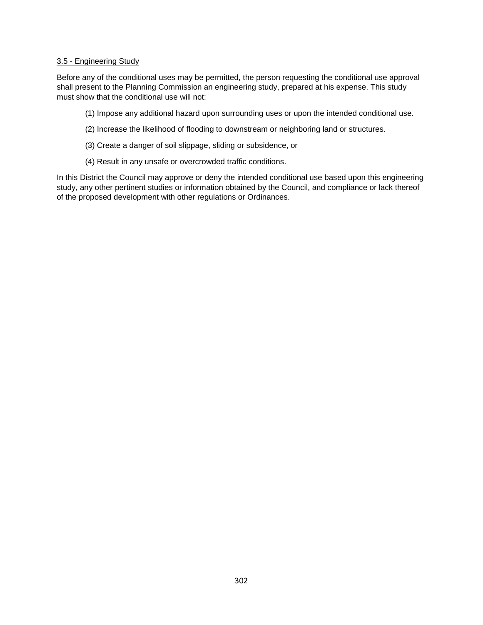#### 3.5 - Engineering Study

Before any of the conditional uses may be permitted, the person requesting the conditional use approval shall present to the Planning Commission an engineering study, prepared at his expense. This study must show that the conditional use will not:

- (1) Impose any additional hazard upon surrounding uses or upon the intended conditional use.
- (2) Increase the likelihood of flooding to downstream or neighboring land or structures.
- (3) Create a danger of soil slippage, sliding or subsidence, or
- (4) Result in any unsafe or overcrowded traffic conditions.

In this District the Council may approve or deny the intended conditional use based upon this engineering study, any other pertinent studies or information obtained by the Council, and compliance or lack thereof of the proposed development with other regulations or Ordinances.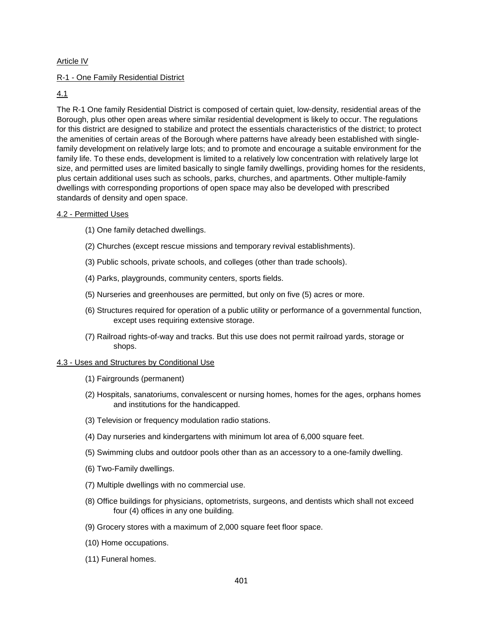# <span id="page-13-0"></span>Article IV

# R-1 - One Family Residential District

#### 4.1

The R-1 One family Residential District is composed of certain quiet, low-density, residential areas of the Borough, plus other open areas where similar residential development is likely to occur. The regulations for this district are designed to stabilize and protect the essentials characteristics of the district; to protect the amenities of certain areas of the Borough where patterns have already been established with singlefamily development on relatively large lots; and to promote and encourage a suitable environment for the family life. To these ends, development is limited to a relatively low concentration with relatively large lot size, and permitted uses are limited basically to single family dwellings, providing homes for the residents, plus certain additional uses such as schools, parks, churches, and apartments. Other multiple-family dwellings with corresponding proportions of open space may also be developed with prescribed standards of density and open space.

#### 4.2 - Permitted Uses

- (1) One family detached dwellings.
- (2) Churches (except rescue missions and temporary revival establishments).
- (3) Public schools, private schools, and colleges (other than trade schools).
- (4) Parks, playgrounds, community centers, sports fields.
- (5) Nurseries and greenhouses are permitted, but only on five (5) acres or more.
- (6) Structures required for operation of a public utility or performance of a governmental function, except uses requiring extensive storage.
- (7) Railroad rights-of-way and tracks. But this use does not permit railroad yards, storage or shops.

#### 4.3 - Uses and Structures by Conditional Use

- (1) Fairgrounds (permanent)
- (2) Hospitals, sanatoriums, convalescent or nursing homes, homes for the ages, orphans homes and institutions for the handicapped.
- (3) Television or frequency modulation radio stations.
- (4) Day nurseries and kindergartens with minimum lot area of 6,000 square feet.
- (5) Swimming clubs and outdoor pools other than as an accessory to a one-family dwelling.
- (6) Two-Family dwellings.
- (7) Multiple dwellings with no commercial use.
- (8) Office buildings for physicians, optometrists, surgeons, and dentists which shall not exceed four (4) offices in any one building.
- (9) Grocery stores with a maximum of 2,000 square feet floor space.
- (10) Home occupations.
- (11) Funeral homes.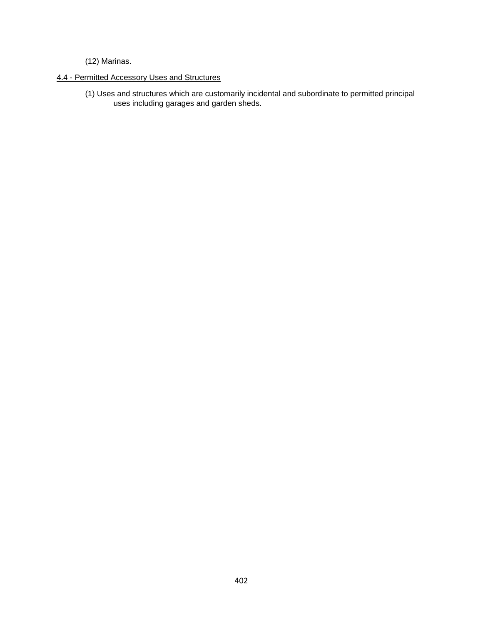(12) Marinas.

# 4.4 - Permitted Accessory Uses and Structures

(1) Uses and structures which are customarily incidental and subordinate to permitted principal uses including garages and garden sheds.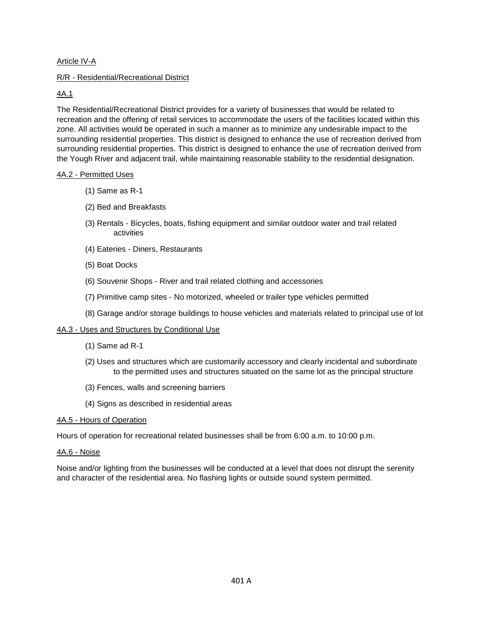# Article IV-A

#### R/R - Residential/Recreational District

# 4A.1

The Residential/Recreational District provides for a variety of businesses that would be related to recreation and the offering of retail services to accommodate the users of the facilities located within this zone. All activities would be operated in such a manner as to minimize any undesirable impact to the surrounding residential properties. This district is designed to enhance the use of recreation derived from surrounding residential properties. This district is designed to enhance the use of recreation derived from the Yough River and adjacent trail, while maintaining reasonable stability to the residential designation.

#### 4A.2 - Permitted Uses

- (1) Same as R-1
- (2) Bed and Breakfasts
- (3) Rentals Bicycles, boats, fishing equipment and similar outdoor water and trail related activities
- (4) Eateries Diners, Restaurants
- (5) Boat Docks
- (6) Souvenir Shops River and trail related clothing and accessories
- (7) Primitive camp sites No motorized, wheeled or trailer type vehicles permitted
- (8) Garage and/or storage buildings to house vehicles and materials related to principal use of lot

#### 4A.3 - Uses and Structures by Conditional Use

- (1) Same ad R-1
- (2) Uses and structures which are customarily accessory and clearly incidental and subordinate to the permitted uses and structures situated on the same lot as the principal structure
- (3) Fences, walls and screening barriers
- (4) Signs as described in residential areas

#### 4A.5 - Hours of Operation

Hours of operation for recreational related businesses shall be from 6:00 a.m. to 10:00 p.m.

#### 4A.6 - Noise

Noise and/or lighting from the businesses will be conducted at a level that does not disrupt the serenity and character of the residential area. No flashing lights or outside sound system permitted.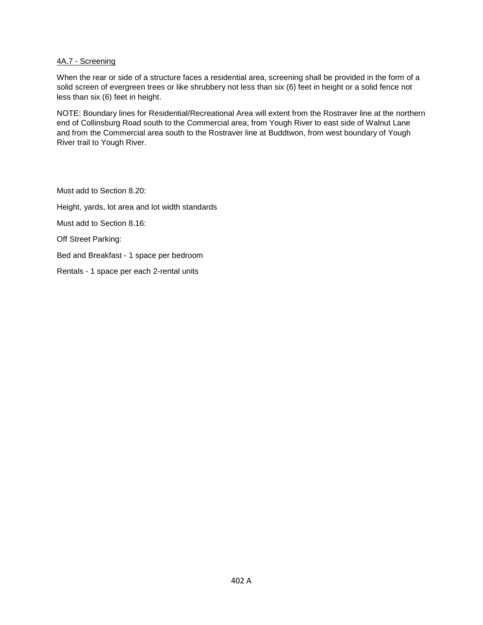# 4A.7 - Screening

When the rear or side of a structure faces a residential area, screening shall be provided in the form of a solid screen of evergreen trees or like shrubbery not less than six (6) feet in height or a solid fence not less than six (6) feet in height.

NOTE: Boundary lines for Residential/Recreational Area will extent from the Rostraver line at the northern end of Collinsburg Road south to the Commercial area, from Yough River to east side of Walnut Lane and from the Commercial area south to the Rostraver line at Buddtwon, from west boundary of Yough River trail to Yough River.

Must add to Section 8.20: Height, yards, lot area and lot width standards Must add to Section 8.16: Off Street Parking: Bed and Breakfast - 1 space per bedroom Rentals - 1 space per each 2-rental units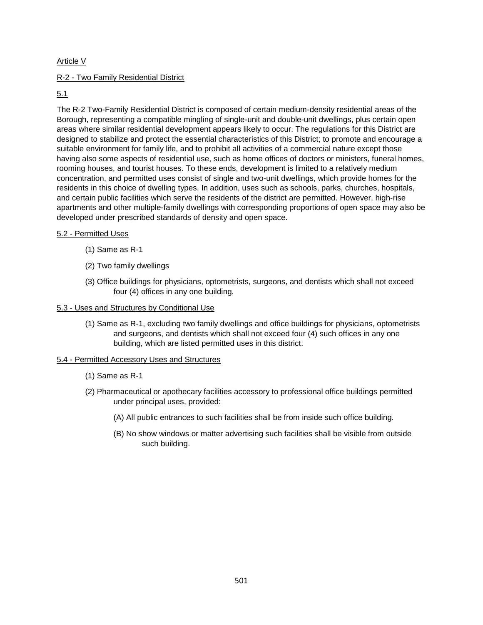# <span id="page-17-0"></span>Article V

# R-2 - Two Family Residential District

# 5.1

The R-2 Two-Family Residential District is composed of certain medium-density residential areas of the Borough, representing a compatible mingling of single-unit and double-unit dwellings, plus certain open areas where similar residential development appears likely to occur. The regulations for this District are designed to stabilize and protect the essential characteristics of this District; to promote and encourage a suitable environment for family life, and to prohibit all activities of a commercial nature except those having also some aspects of residential use, such as home offices of doctors or ministers, funeral homes, rooming houses, and tourist houses. To these ends, development is limited to a relatively medium concentration, and permitted uses consist of single and two-unit dwellings, which provide homes for the residents in this choice of dwelling types. In addition, uses such as schools, parks, churches, hospitals, and certain public facilities which serve the residents of the district are permitted. However, high-rise apartments and other multiple-family dwellings with corresponding proportions of open space may also be developed under prescribed standards of density and open space.

# 5.2 - Permitted Uses

- (1) Same as R-1
- (2) Two family dwellings
- (3) Office buildings for physicians, optometrists, surgeons, and dentists which shall not exceed four (4) offices in any one building.

#### 5.3 - Uses and Structures by Conditional Use

(1) Same as R-1, excluding two family dwellings and office buildings for physicians, optometrists and surgeons, and dentists which shall not exceed four (4) such offices in any one building, which are listed permitted uses in this district.

# 5.4 - Permitted Accessory Uses and Structures

- (1) Same as R-1
- (2) Pharmaceutical or apothecary facilities accessory to professional office buildings permitted under principal uses, provided:
	- (A) All public entrances to such facilities shall be from inside such office building.
	- (B) No show windows or matter advertising such facilities shall be visible from outside such building.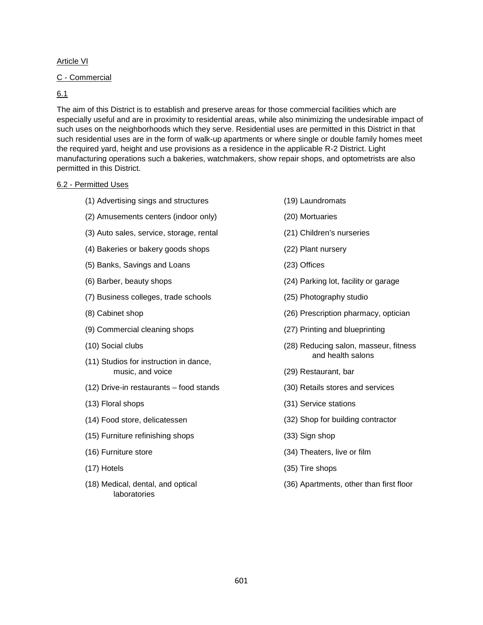# <span id="page-18-0"></span>Article VI

#### C - Commercial

# 6.1

The aim of this District is to establish and preserve areas for those commercial facilities which are especially useful and are in proximity to residential areas, while also minimizing the undesirable impact of such uses on the neighborhoods which they serve. Residential uses are permitted in this District in that such residential uses are in the form of walk-up apartments or where single or double family homes meet the required yard, height and use provisions as a residence in the applicable R-2 District. Light manufacturing operations such a bakeries, watchmakers, show repair shops, and optometrists are also permitted in this District.

#### 6.2 - Permitted Uses

- (1) Advertising sings and structures
- (2) Amusements centers (indoor only)
- (3) Auto sales, service, storage, rental
- (4) Bakeries or bakery goods shops
- (5) Banks, Savings and Loans
- (6) Barber, beauty shops
- (7) Business colleges, trade schools
- (8) Cabinet shop
- (9) Commercial cleaning shops
- (10) Social clubs
- (11) Studios for instruction in dance, music, and voice
- (12) Drive-in restaurants food stands
- (13) Floral shops
- (14) Food store, delicatessen
- (15) Furniture refinishing shops
- (16) Furniture store
- (17) Hotels
- (18) Medical, dental, and optical laboratories
- (19) Laundromats
- (20) Mortuaries
- (21) Children's nurseries
- (22) Plant nursery
- (23) Offices
- (24) Parking lot, facility or garage
- (25) Photography studio
- (26) Prescription pharmacy, optician
- (27) Printing and blueprinting
- (28) Reducing salon, masseur, fitness and health salons
- (29) Restaurant, bar
- (30) Retails stores and services
- (31) Service stations
- (32) Shop for building contractor
- (33) Sign shop
- (34) Theaters, live or film
- (35) Tire shops
- (36) Apartments, other than first floor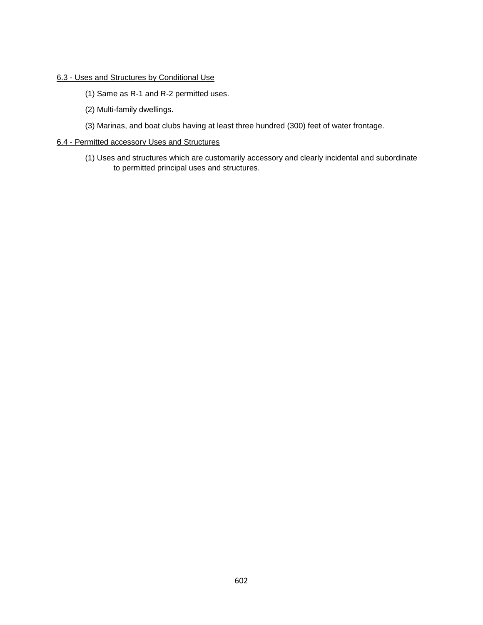# 6.3 - Uses and Structures by Conditional Use

- (1) Same as R-1 and R-2 permitted uses.
- (2) Multi-family dwellings.
- (3) Marinas, and boat clubs having at least three hundred (300) feet of water frontage.

# 6.4 - Permitted accessory Uses and Structures

(1) Uses and structures which are customarily accessory and clearly incidental and subordinate to permitted principal uses and structures.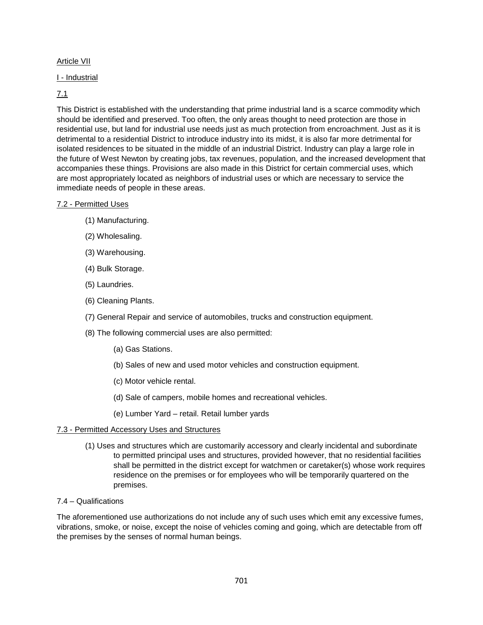# <span id="page-20-0"></span>Article VII

### I - Industrial

# 7.1

This District is established with the understanding that prime industrial land is a scarce commodity which should be identified and preserved. Too often, the only areas thought to need protection are those in residential use, but land for industrial use needs just as much protection from encroachment. Just as it is detrimental to a residential District to introduce industry into its midst, it is also far more detrimental for isolated residences to be situated in the middle of an industrial District. Industry can play a large role in the future of West Newton by creating jobs, tax revenues, population, and the increased development that accompanies these things. Provisions are also made in this District for certain commercial uses, which are most appropriately located as neighbors of industrial uses or which are necessary to service the immediate needs of people in these areas.

#### 7.2 - Permitted Uses

- (1) Manufacturing.
- (2) Wholesaling.
- (3) Warehousing.
- (4) Bulk Storage.
- (5) Laundries.
- (6) Cleaning Plants.
- (7) General Repair and service of automobiles, trucks and construction equipment.
- (8) The following commercial uses are also permitted:
	- (a) Gas Stations.
	- (b) Sales of new and used motor vehicles and construction equipment.
	- (c) Motor vehicle rental.
	- (d) Sale of campers, mobile homes and recreational vehicles.
	- (e) Lumber Yard retail. Retail lumber yards

# 7.3 - Permitted Accessory Uses and Structures

(1) Uses and structures which are customarily accessory and clearly incidental and subordinate to permitted principal uses and structures, provided however, that no residential facilities shall be permitted in the district except for watchmen or caretaker(s) whose work requires residence on the premises or for employees who will be temporarily quartered on the premises.

# 7.4 – Qualifications

The aforementioned use authorizations do not include any of such uses which emit any excessive fumes, vibrations, smoke, or noise, except the noise of vehicles coming and going, which are detectable from off the premises by the senses of normal human beings.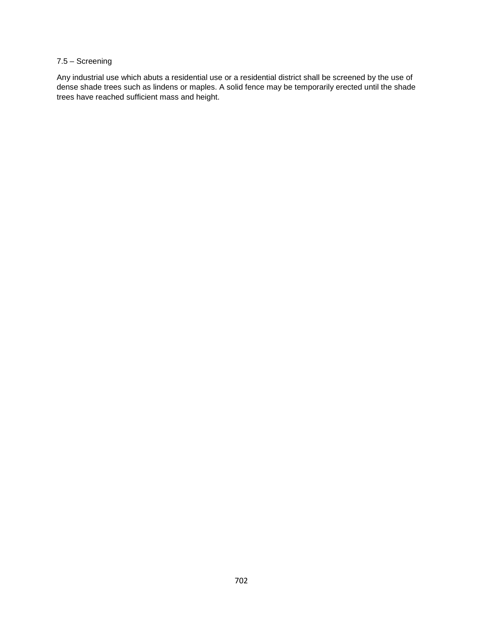# 7.5 – Screening

Any industrial use which abuts a residential use or a residential district shall be screened by the use of dense shade trees such as lindens or maples. A solid fence may be temporarily erected until the shade trees have reached sufficient mass and height.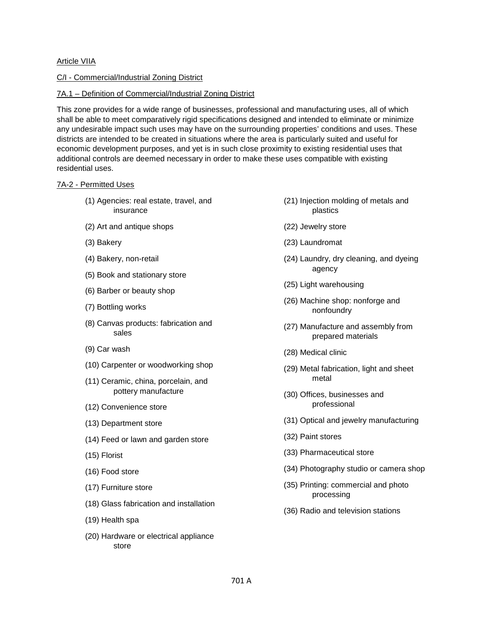# <span id="page-22-0"></span>Article VIIA

# C/I - Commercial/Industrial Zoning District

#### 7A.1 – Definition of Commercial/Industrial Zoning District

This zone provides for a wide range of businesses, professional and manufacturing uses, all of which shall be able to meet comparatively rigid specifications designed and intended to eliminate or minimize any undesirable impact such uses may have on the surrounding properties' conditions and uses. These districts are intended to be created in situations where the area is particularly suited and useful for economic development purposes, and yet is in such close proximity to existing residential uses that additional controls are deemed necessary in order to make these uses compatible with existing residential uses.

#### 7A-2 - Permitted Uses

- (1) Agencies: real estate, travel, and insurance
- (2) Art and antique shops
- (3) Bakery
- (4) Bakery, non-retail
- (5) Book and stationary store
- (6) Barber or beauty shop
- (7) Bottling works
- (8) Canvas products: fabrication and sales
- (9) Car wash
- (10) Carpenter or woodworking shop
- (11) Ceramic, china, porcelain, and pottery manufacture
- (12) Convenience store
- (13) Department store
- (14) Feed or lawn and garden store
- (15) Florist
- (16) Food store
- (17) Furniture store
- (18) Glass fabrication and installation
- (19) Health spa
- (20) Hardware or electrical appliance store
- (21) Injection molding of metals and plastics
- (22) Jewelry store
- (23) Laundromat
- (24) Laundry, dry cleaning, and dyeing agency
- (25) Light warehousing
- (26) Machine shop: nonforge and nonfoundry
- (27) Manufacture and assembly from prepared materials
- (28) Medical clinic
- (29) Metal fabrication, light and sheet metal
- (30) Offices, businesses and professional
- (31) Optical and jewelry manufacturing
- (32) Paint stores
- (33) Pharmaceutical store
- (34) Photography studio or camera shop
- (35) Printing: commercial and photo processing
- (36) Radio and television stations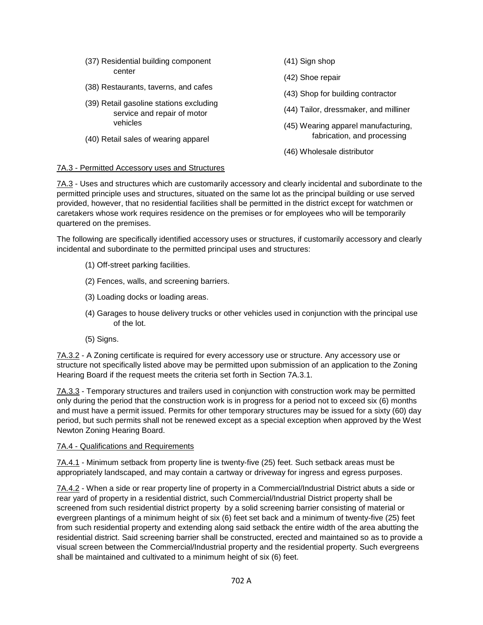(37) Residential building component center (38) Restaurants, taverns, and cafes (39) Retail gasoline stations excluding service and repair of motor vehicles (40) Retail sales of wearing apparel (41) Sign shop (42) Shoe repair (43) Shop for building contractor (44) Tailor, dressmaker, and milliner (45) Wearing apparel manufacturing, fabrication, and processing (46) Wholesale distributor

#### 7A.3 - Permitted Accessory uses and Structures

7A.3 - Uses and structures which are customarily accessory and clearly incidental and subordinate to the permitted principle uses and structures, situated on the same lot as the principal building or use served provided, however, that no residential facilities shall be permitted in the district except for watchmen or caretakers whose work requires residence on the premises or for employees who will be temporarily quartered on the premises.

The following are specifically identified accessory uses or structures, if customarily accessory and clearly incidental and subordinate to the permitted principal uses and structures:

- (1) Off-street parking facilities.
- (2) Fences, walls, and screening barriers.
- (3) Loading docks or loading areas.
- (4) Garages to house delivery trucks or other vehicles used in conjunction with the principal use of the lot.
- (5) Signs.

7A.3.2 - A Zoning certificate is required for every accessory use or structure. Any accessory use or structure not specifically listed above may be permitted upon submission of an application to the Zoning Hearing Board if the request meets the criteria set forth in Section 7A.3.1.

7A.3.3 - Temporary structures and trailers used in conjunction with construction work may be permitted only during the period that the construction work is in progress for a period not to exceed six (6) months and must have a permit issued. Permits for other temporary structures may be issued for a sixty (60) day period, but such permits shall not be renewed except as a special exception when approved by the West Newton Zoning Hearing Board.

#### 7A.4 - Qualifications and Requirements

7A.4.1 - Minimum setback from property line is twenty-five (25) feet. Such setback areas must be appropriately landscaped, and may contain a cartway or driveway for ingress and egress purposes.

7A.4.2 - When a side or rear property line of property in a Commercial/Industrial District abuts a side or rear yard of property in a residential district, such Commercial/Industrial District property shall be screened from such residential district property by a solid screening barrier consisting of material or evergreen plantings of a minimum height of six (6) feet set back and a minimum of twenty-five (25) feet from such residential property and extending along said setback the entire width of the area abutting the residential district. Said screening barrier shall be constructed, erected and maintained so as to provide a visual screen between the Commercial/Industrial property and the residential property. Such evergreens shall be maintained and cultivated to a minimum height of six (6) feet.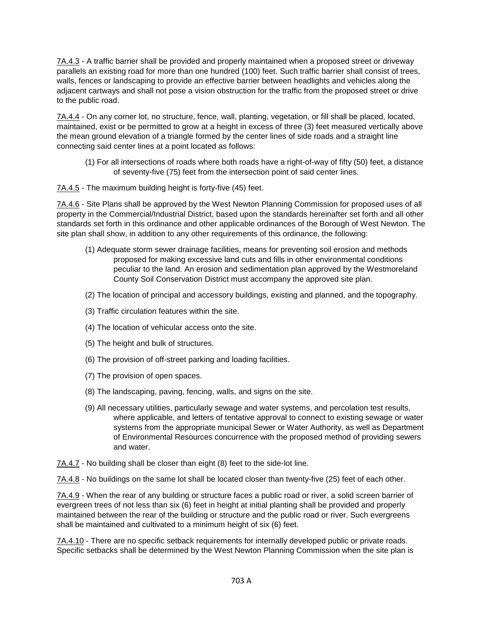7A.4.3 - A traffic barrier shall be provided and properly maintained when a proposed street or driveway parallels an existing road for more than one hundred (100) feet. Such traffic barrier shall consist of trees, walls, fences or landscaping to provide an effective barrier between headlights and vehicles along the adjacent cartways and shall not pose a vision obstruction for the traffic from the proposed street or drive to the public road.

7A.4.4 - On any corner lot, no structure, fence, wall, planting, vegetation, or fill shall be placed, located, maintained, exist or be permitted to grow at a height in excess of three (3) feet measured vertically above the mean ground elevation of a triangle formed by the center lines of side roads and a straight line connecting said center lines at a point located as follows:

(1) For all intersections of roads where both roads have a right-of-way of fifty (50) feet, a distance of seventy-five (75) feet from the intersection point of said center lines.

7A.4.5 - The maximum building height is forty-five (45) feet.

7A.4.6 - Site Plans shall be approved by the West Newton Planning Commission for proposed uses of all property in the Commercial/Industrial District, based upon the standards hereinafter set forth and all other standards set forth in this ordinance and other applicable ordinances of the Borough of West Newton. The site plan shall show, in addition to any other requirements of this ordinance, the following:

- (1) Adequate storm sewer drainage facilities, means for preventing soil erosion and methods proposed for making excessive land cuts and fills in other environmental conditions peculiar to the land. An erosion and sedimentation plan approved by the Westmoreland County Soil Conservation District must accompany the approved site plan.
- (2) The location of principal and accessory buildings, existing and planned, and the topography.
- (3) Traffic circulation features within the site.
- (4) The location of vehicular access onto the site.
- (5) The height and bulk of structures.
- (6) The provision of off-street parking and loading facilities.
- (7) The provision of open spaces.
- (8) The landscaping, paving, fencing, walls, and signs on the site.
- (9) All necessary utilities, particularly sewage and water systems, and percolation test results, where applicable, and letters of tentative approval to connect to existing sewage or water systems from the appropriate municipal Sewer or Water Authority, as well as Department of Environmental Resources concurrence with the proposed method of providing sewers and water.

7A.4.7 - No building shall be closer than eight (8) feet to the side-lot line.

7A.4.8 - No buildings on the same lot shall be located closer than twenty-five (25) feet of each other.

7A.4.9 - When the rear of any building or structure faces a public road or river, a solid screen barrier of evergreen trees of not less than six (6) feet in height at initial planting shall be provided and properly maintained between the rear of the building or structure and the public road or river. Such evergreens shall be maintained and cultivated to a minimum height of six (6) feet.

7A.4.10 - There are no specific setback requirements for internally developed public or private roads. Specific setbacks shall be determined by the West Newton Planning Commission when the site plan is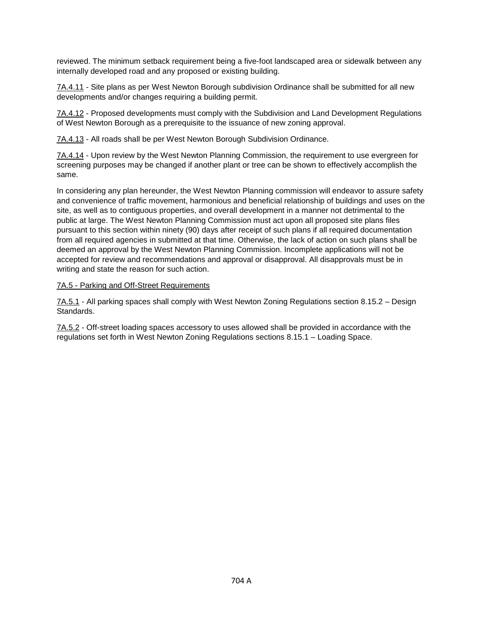reviewed. The minimum setback requirement being a five-foot landscaped area or sidewalk between any internally developed road and any proposed or existing building.

7A.4.11 - Site plans as per West Newton Borough subdivision Ordinance shall be submitted for all new developments and/or changes requiring a building permit.

7A.4.12 - Proposed developments must comply with the Subdivision and Land Development Regulations of West Newton Borough as a prerequisite to the issuance of new zoning approval.

7A.4.13 - All roads shall be per West Newton Borough Subdivision Ordinance.

7A.4.14 - Upon review by the West Newton Planning Commission, the requirement to use evergreen for screening purposes may be changed if another plant or tree can be shown to effectively accomplish the same.

In considering any plan hereunder, the West Newton Planning commission will endeavor to assure safety and convenience of traffic movement, harmonious and beneficial relationship of buildings and uses on the site, as well as to contiguous properties, and overall development in a manner not detrimental to the public at large. The West Newton Planning Commission must act upon all proposed site plans files pursuant to this section within ninety (90) days after receipt of such plans if all required documentation from all required agencies in submitted at that time. Otherwise, the lack of action on such plans shall be deemed an approval by the West Newton Planning Commission. Incomplete applications will not be accepted for review and recommendations and approval or disapproval. All disapprovals must be in writing and state the reason for such action.

#### 7A.5 - Parking and Off-Street Requirements

7A.5.1 - All parking spaces shall comply with West Newton Zoning Regulations section 8.15.2 – Design **Standards** 

7A.5.2 - Off-street loading spaces accessory to uses allowed shall be provided in accordance with the regulations set forth in West Newton Zoning Regulations sections 8.15.1 – Loading Space.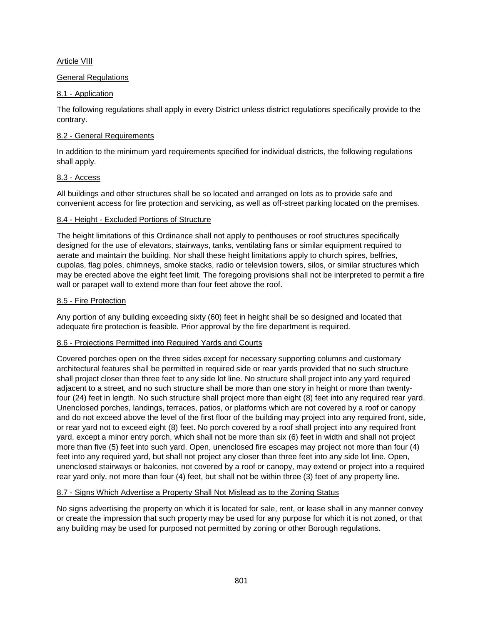# <span id="page-26-0"></span>Article VIII

# General Regulations

# 8.1 - Application

The following regulations shall apply in every District unless district regulations specifically provide to the contrary.

# 8.2 - General Requirements

In addition to the minimum yard requirements specified for individual districts, the following regulations shall apply.

# 8.3 - Access

All buildings and other structures shall be so located and arranged on lots as to provide safe and convenient access for fire protection and servicing, as well as off-street parking located on the premises.

# 8.4 - Height - Excluded Portions of Structure

The height limitations of this Ordinance shall not apply to penthouses or roof structures specifically designed for the use of elevators, stairways, tanks, ventilating fans or similar equipment required to aerate and maintain the building. Nor shall these height limitations apply to church spires, belfries, cupolas, flag poles, chimneys, smoke stacks, radio or television towers, silos, or similar structures which may be erected above the eight feet limit. The foregoing provisions shall not be interpreted to permit a fire wall or parapet wall to extend more than four feet above the roof.

# 8.5 - Fire Protection

Any portion of any building exceeding sixty (60) feet in height shall be so designed and located that adequate fire protection is feasible. Prior approval by the fire department is required.

# 8.6 - Projections Permitted into Required Yards and Courts

Covered porches open on the three sides except for necessary supporting columns and customary architectural features shall be permitted in required side or rear yards provided that no such structure shall project closer than three feet to any side lot line. No structure shall project into any yard required adjacent to a street, and no such structure shall be more than one story in height or more than twentyfour (24) feet in length. No such structure shall project more than eight (8) feet into any required rear yard. Unenclosed porches, landings, terraces, patios, or platforms which are not covered by a roof or canopy and do not exceed above the level of the first floor of the building may project into any required front, side, or rear yard not to exceed eight (8) feet. No porch covered by a roof shall project into any required front yard, except a minor entry porch, which shall not be more than six (6) feet in width and shall not project more than five (5) feet into such yard. Open, unenclosed fire escapes may project not more than four (4) feet into any required yard, but shall not project any closer than three feet into any side lot line. Open, unenclosed stairways or balconies, not covered by a roof or canopy, may extend or project into a required rear yard only, not more than four (4) feet, but shall not be within three (3) feet of any property line.

# 8.7 - Signs Which Advertise a Property Shall Not Mislead as to the Zoning Status

No signs advertising the property on which it is located for sale, rent, or lease shall in any manner convey or create the impression that such property may be used for any purpose for which it is not zoned, or that any building may be used for purposed not permitted by zoning or other Borough regulations.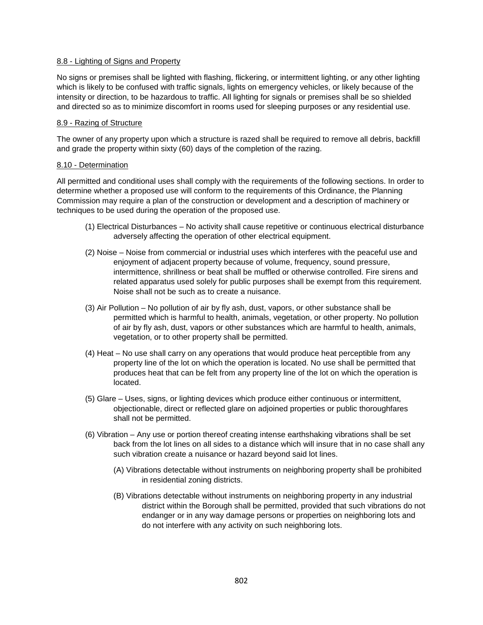#### 8.8 - Lighting of Signs and Property

No signs or premises shall be lighted with flashing, flickering, or intermittent lighting, or any other lighting which is likely to be confused with traffic signals, lights on emergency vehicles, or likely because of the intensity or direction, to be hazardous to traffic. All lighting for signals or premises shall be so shielded and directed so as to minimize discomfort in rooms used for sleeping purposes or any residential use.

#### 8.9 - Razing of Structure

The owner of any property upon which a structure is razed shall be required to remove all debris, backfill and grade the property within sixty (60) days of the completion of the razing.

#### 8.10 - Determination

All permitted and conditional uses shall comply with the requirements of the following sections. In order to determine whether a proposed use will conform to the requirements of this Ordinance, the Planning Commission may require a plan of the construction or development and a description of machinery or techniques to be used during the operation of the proposed use.

- (1) Electrical Disturbances No activity shall cause repetitive or continuous electrical disturbance adversely affecting the operation of other electrical equipment.
- (2) Noise Noise from commercial or industrial uses which interferes with the peaceful use and enjoyment of adjacent property because of volume, frequency, sound pressure, intermittence, shrillness or beat shall be muffled or otherwise controlled. Fire sirens and related apparatus used solely for public purposes shall be exempt from this requirement. Noise shall not be such as to create a nuisance.
- (3) Air Pollution No pollution of air by fly ash, dust, vapors, or other substance shall be permitted which is harmful to health, animals, vegetation, or other property. No pollution of air by fly ash, dust, vapors or other substances which are harmful to health, animals, vegetation, or to other property shall be permitted.
- (4) Heat No use shall carry on any operations that would produce heat perceptible from any property line of the lot on which the operation is located. No use shall be permitted that produces heat that can be felt from any property line of the lot on which the operation is located.
- (5) Glare Uses, signs, or lighting devices which produce either continuous or intermittent, objectionable, direct or reflected glare on adjoined properties or public thoroughfares shall not be permitted.
- (6) Vibration Any use or portion thereof creating intense earthshaking vibrations shall be set back from the lot lines on all sides to a distance which will insure that in no case shall any such vibration create a nuisance or hazard beyond said lot lines.
	- (A) Vibrations detectable without instruments on neighboring property shall be prohibited in residential zoning districts.
	- (B) Vibrations detectable without instruments on neighboring property in any industrial district within the Borough shall be permitted, provided that such vibrations do not endanger or in any way damage persons or properties on neighboring lots and do not interfere with any activity on such neighboring lots.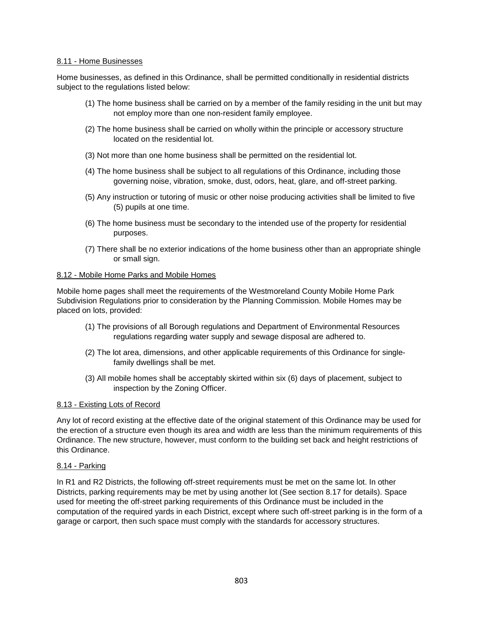#### 8.11 - Home Businesses

Home businesses, as defined in this Ordinance, shall be permitted conditionally in residential districts subject to the regulations listed below:

- (1) The home business shall be carried on by a member of the family residing in the unit but may not employ more than one non-resident family employee.
- (2) The home business shall be carried on wholly within the principle or accessory structure located on the residential lot.
- (3) Not more than one home business shall be permitted on the residential lot.
- (4) The home business shall be subject to all regulations of this Ordinance, including those governing noise, vibration, smoke, dust, odors, heat, glare, and off-street parking.
- (5) Any instruction or tutoring of music or other noise producing activities shall be limited to five (5) pupils at one time.
- (6) The home business must be secondary to the intended use of the property for residential purposes.
- (7) There shall be no exterior indications of the home business other than an appropriate shingle or small sign.

#### 8.12 - Mobile Home Parks and Mobile Homes

Mobile home pages shall meet the requirements of the Westmoreland County Mobile Home Park Subdivision Regulations prior to consideration by the Planning Commission. Mobile Homes may be placed on lots, provided:

- (1) The provisions of all Borough regulations and Department of Environmental Resources regulations regarding water supply and sewage disposal are adhered to.
- (2) The lot area, dimensions, and other applicable requirements of this Ordinance for singlefamily dwellings shall be met.
- (3) All mobile homes shall be acceptably skirted within six (6) days of placement, subject to inspection by the Zoning Officer.

#### 8.13 - Existing Lots of Record

Any lot of record existing at the effective date of the original statement of this Ordinance may be used for the erection of a structure even though its area and width are less than the minimum requirements of this Ordinance. The new structure, however, must conform to the building set back and height restrictions of this Ordinance.

#### 8.14 - Parking

In R1 and R2 Districts, the following off-street requirements must be met on the same lot. In other Districts, parking requirements may be met by using another lot (See section 8.17 for details). Space used for meeting the off-street parking requirements of this Ordinance must be included in the computation of the required yards in each District, except where such off-street parking is in the form of a garage or carport, then such space must comply with the standards for accessory structures.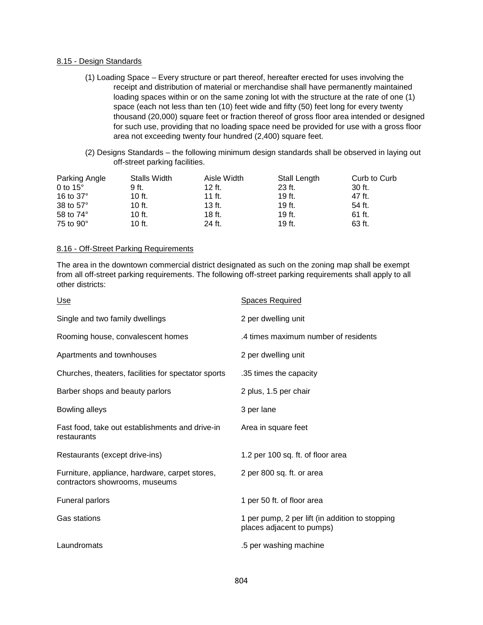#### 8.15 - Design Standards

- (1) Loading Space Every structure or part thereof, hereafter erected for uses involving the receipt and distribution of material or merchandise shall have permanently maintained loading spaces within or on the same zoning lot with the structure at the rate of one (1) space (each not less than ten (10) feet wide and fifty (50) feet long for every twenty thousand (20,000) square feet or fraction thereof of gross floor area intended or designed for such use, providing that no loading space need be provided for use with a gross floor area not exceeding twenty four hundred (2,400) square feet.
- (2) Designs Standards the following minimum design standards shall be observed in laying out off-street parking facilities.

| Parking Angle    | Stalls Width | Aisle Width | Stall Length | Curb to Curb |
|------------------|--------------|-------------|--------------|--------------|
| 0 to $15^\circ$  | 9 ft.        | 12 ft.      | $23$ ft.     | 30 ft.       |
| 16 to $37^\circ$ | 10 ft.       | 11 ft.      | 19 ft.       | 47 ft.       |
| 38 to $57^\circ$ | 10 ft.       | $13$ ft.    | 19 ft.       | 54 ft.       |
| 58 to $74^\circ$ | 10 ft.       | 18 ft.      | 19 ft.       | 61 ft.       |
| 75 to $90^\circ$ | 10 ft.       | 24 ft.      | 19 ft.       | 63 ft.       |

#### 8.16 - Off-Street Parking Requirements

The area in the downtown commercial district designated as such on the zoning map shall be exempt from all off-street parking requirements. The following off-street parking requirements shall apply to all other districts:

| <u>Use</u>                                                                       | <b>Spaces Required</b>                                                       |
|----------------------------------------------------------------------------------|------------------------------------------------------------------------------|
| Single and two family dwellings                                                  | 2 per dwelling unit                                                          |
| Rooming house, convalescent homes                                                | .4 times maximum number of residents                                         |
| Apartments and townhouses                                                        | 2 per dwelling unit                                                          |
| Churches, theaters, facilities for spectator sports                              | .35 times the capacity                                                       |
| Barber shops and beauty parlors                                                  | 2 plus, 1.5 per chair                                                        |
| Bowling alleys                                                                   | 3 per lane                                                                   |
| Fast food, take out establishments and drive-in<br>restaurants                   | Area in square feet                                                          |
| Restaurants (except drive-ins)                                                   | 1.2 per 100 sq. ft. of floor area                                            |
| Furniture, appliance, hardware, carpet stores,<br>contractors showrooms, museums | 2 per 800 sq. ft. or area                                                    |
| <b>Funeral parlors</b>                                                           | 1 per 50 ft. of floor area                                                   |
| Gas stations                                                                     | 1 per pump, 2 per lift (in addition to stopping<br>places adjacent to pumps) |
| Laundromats                                                                      | .5 per washing machine                                                       |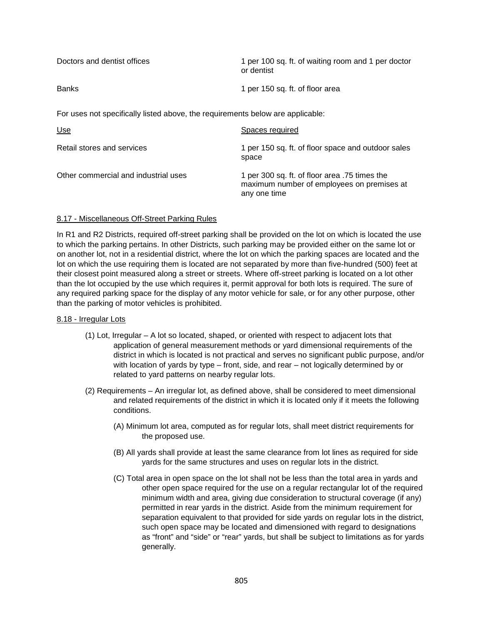| Doctors and dentist offices                                                    | 1 per 100 sq. ft. of waiting room and 1 per doctor<br>or dentist |  |  |  |
|--------------------------------------------------------------------------------|------------------------------------------------------------------|--|--|--|
| <b>Banks</b>                                                                   | 1 per 150 sq. ft. of floor area                                  |  |  |  |
| For uses not specifically listed above, the requirements below are applicable: |                                                                  |  |  |  |
| U <sub>se</sub>                                                                | Spaces required                                                  |  |  |  |
| Retail stores and services                                                     | 1 per 150 sq. ft. of floor space and outdoor sales<br>space      |  |  |  |

Other commercial and industrial uses 1 per 300 sq. ft. of floor area .75 times the maximum number of employees on premises at any one time

# 8.17 - Miscellaneous Off-Street Parking Rules

In R1 and R2 Districts, required off-street parking shall be provided on the lot on which is located the use to which the parking pertains. In other Districts, such parking may be provided either on the same lot or on another lot, not in a residential district, where the lot on which the parking spaces are located and the lot on which the use requiring them is located are not separated by more than five-hundred (500) feet at their closest point measured along a street or streets. Where off-street parking is located on a lot other than the lot occupied by the use which requires it, permit approval for both lots is required. The sure of any required parking space for the display of any motor vehicle for sale, or for any other purpose, other than the parking of motor vehicles is prohibited.

#### 8.18 - Irregular Lots

- (1) Lot, Irregular A lot so located, shaped, or oriented with respect to adjacent lots that application of general measurement methods or yard dimensional requirements of the district in which is located is not practical and serves no significant public purpose, and/or with location of yards by type – front, side, and rear – not logically determined by or related to yard patterns on nearby regular lots.
- (2) Requirements An irregular lot, as defined above, shall be considered to meet dimensional and related requirements of the district in which it is located only if it meets the following conditions.
	- (A) Minimum lot area, computed as for regular lots, shall meet district requirements for the proposed use.
	- (B) All yards shall provide at least the same clearance from lot lines as required for side yards for the same structures and uses on regular lots in the district.
	- (C) Total area in open space on the lot shall not be less than the total area in yards and other open space required for the use on a regular rectangular lot of the required minimum width and area, giving due consideration to structural coverage (if any) permitted in rear yards in the district. Aside from the minimum requirement for separation equivalent to that provided for side yards on regular lots in the district, such open space may be located and dimensioned with regard to designations as "front" and "side" or "rear" yards, but shall be subject to limitations as for yards generally.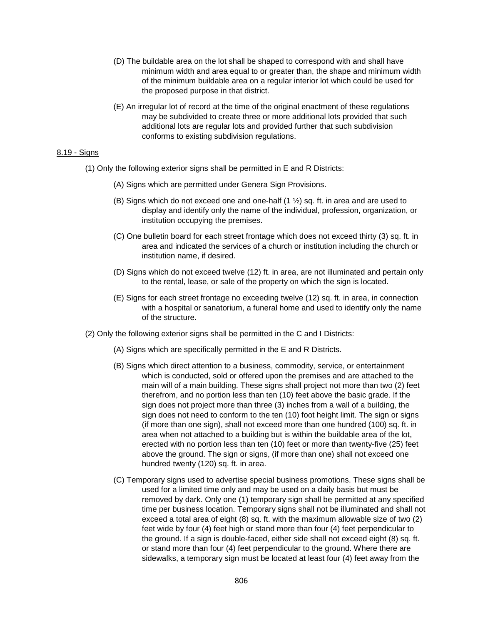- (D) The buildable area on the lot shall be shaped to correspond with and shall have minimum width and area equal to or greater than, the shape and minimum width of the minimum buildable area on a regular interior lot which could be used for the proposed purpose in that district.
- (E) An irregular lot of record at the time of the original enactment of these regulations may be subdivided to create three or more additional lots provided that such additional lots are regular lots and provided further that such subdivision conforms to existing subdivision regulations.

#### 8.19 - Signs

- (1) Only the following exterior signs shall be permitted in E and R Districts:
	- (A) Signs which are permitted under Genera Sign Provisions.
	- (B) Signs which do not exceed one and one-half  $(1 \frac{1}{2})$  sq. ft. in area and are used to display and identify only the name of the individual, profession, organization, or institution occupying the premises.
	- (C) One bulletin board for each street frontage which does not exceed thirty (3) sq. ft. in area and indicated the services of a church or institution including the church or institution name, if desired.
	- (D) Signs which do not exceed twelve (12) ft. in area, are not illuminated and pertain only to the rental, lease, or sale of the property on which the sign is located.
	- (E) Signs for each street frontage no exceeding twelve (12) sq. ft. in area, in connection with a hospital or sanatorium, a funeral home and used to identify only the name of the structure.
- (2) Only the following exterior signs shall be permitted in the C and I Districts:
	- (A) Signs which are specifically permitted in the E and R Districts.
	- (B) Signs which direct attention to a business, commodity, service, or entertainment which is conducted, sold or offered upon the premises and are attached to the main will of a main building. These signs shall project not more than two (2) feet therefrom, and no portion less than ten (10) feet above the basic grade. If the sign does not project more than three (3) inches from a wall of a building, the sign does not need to conform to the ten (10) foot height limit. The sign or signs (if more than one sign), shall not exceed more than one hundred (100) sq. ft. in area when not attached to a building but is within the buildable area of the lot, erected with no portion less than ten (10) feet or more than twenty-five (25) feet above the ground. The sign or signs, (if more than one) shall not exceed one hundred twenty (120) sq. ft. in area.
	- (C) Temporary signs used to advertise special business promotions. These signs shall be used for a limited time only and may be used on a daily basis but must be removed by dark. Only one (1) temporary sign shall be permitted at any specified time per business location. Temporary signs shall not be illuminated and shall not exceed a total area of eight (8) sq. ft. with the maximum allowable size of two (2) feet wide by four (4) feet high or stand more than four (4) feet perpendicular to the ground. If a sign is double-faced, either side shall not exceed eight (8) sq. ft. or stand more than four (4) feet perpendicular to the ground. Where there are sidewalks, a temporary sign must be located at least four (4) feet away from the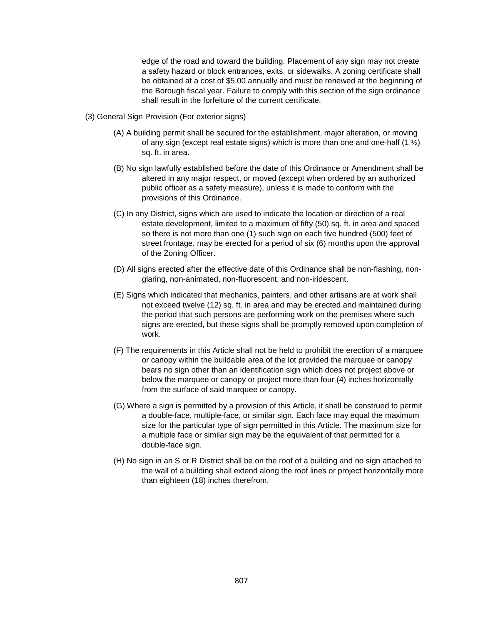edge of the road and toward the building. Placement of any sign may not create a safety hazard or block entrances, exits, or sidewalks. A zoning certificate shall be obtained at a cost of \$5.00 annually and must be renewed at the beginning of the Borough fiscal year. Failure to comply with this section of the sign ordinance shall result in the forfeiture of the current certificate.

- (3) General Sign Provision (For exterior signs)
	- (A) A building permit shall be secured for the establishment, major alteration, or moving of any sign (except real estate signs) which is more than one and one-half  $(1 \frac{1}{2})$ sq. ft. in area.
	- (B) No sign lawfully established before the date of this Ordinance or Amendment shall be altered in any major respect, or moved (except when ordered by an authorized public officer as a safety measure), unless it is made to conform with the provisions of this Ordinance.
	- (C) In any District, signs which are used to indicate the location or direction of a real estate development, limited to a maximum of fifty (50) sq. ft. in area and spaced so there is not more than one (1) such sign on each five hundred (500) feet of street frontage, may be erected for a period of six (6) months upon the approval of the Zoning Officer.
	- (D) All signs erected after the effective date of this Ordinance shall be non-flashing, nonglaring, non-animated, non-fluorescent, and non-iridescent.
	- (E) Signs which indicated that mechanics, painters, and other artisans are at work shall not exceed twelve (12) sq. ft. in area and may be erected and maintained during the period that such persons are performing work on the premises where such signs are erected, but these signs shall be promptly removed upon completion of work.
	- (F) The requirements in this Article shall not be held to prohibit the erection of a marquee or canopy within the buildable area of the lot provided the marquee or canopy bears no sign other than an identification sign which does not project above or below the marquee or canopy or project more than four (4) inches horizontally from the surface of said marquee or canopy.
	- (G) Where a sign is permitted by a provision of this Article, it shall be construed to permit a double-face, multiple-face, or similar sign. Each face may equal the maximum size for the particular type of sign permitted in this Article. The maximum size for a multiple face or similar sign may be the equivalent of that permitted for a double-face sign.
	- (H) No sign in an S or R District shall be on the roof of a building and no sign attached to the wall of a building shall extend along the roof lines or project horizontally more than eighteen (18) inches therefrom.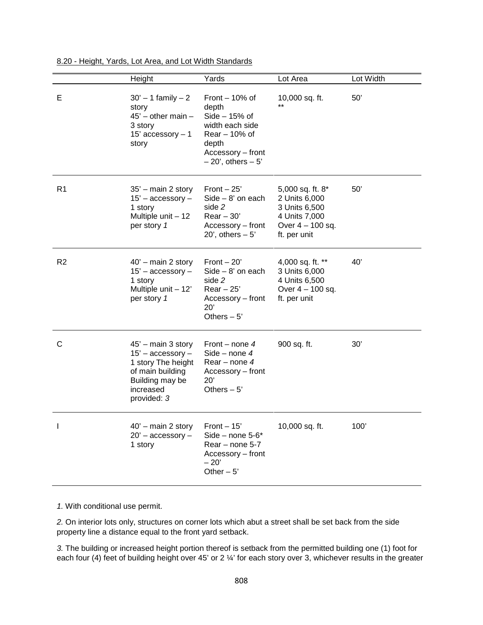|                | Height                                                                                                                             | Yards                                                                                                                                    | Lot Area                                                                                                | Lot Width |
|----------------|------------------------------------------------------------------------------------------------------------------------------------|------------------------------------------------------------------------------------------------------------------------------------------|---------------------------------------------------------------------------------------------------------|-----------|
| Е              | $30' - 1$ family $-2$<br>story<br>$45'$ - other main -<br>3 story<br>15' accessory $-1$<br>story                                   | Front $-10%$ of<br>depth<br>$Side - 15%$ of<br>width each side<br>$Rear - 10%$ of<br>depth<br>Accessory - front<br>$-20'$ , others $-5'$ | 10,000 sq. ft.                                                                                          | 50'       |
| R <sub>1</sub> | $35'$ – main 2 story<br>$15'$ – accessory –<br>1 story<br>Multiple unit - 12<br>per story 1                                        | Front $-25$ '<br>$Side - 8'$ on each<br>side 2<br>$Rear - 30'$<br>Accessory – front<br>20', others $-5'$                                 | 5,000 sq. ft. 8*<br>2 Units 6,000<br>3 Units 6,500<br>4 Units 7,000<br>Over 4 - 100 sq.<br>ft. per unit | 50'       |
| R <sub>2</sub> | $40'$ – main 2 story<br>$15'$ – accessory –<br>1 story<br>Multiple unit - 12'<br>per story 1                                       | Front $-20'$<br>$Side - 8'$ on each<br>side 2<br>$Rear - 25'$<br>Accessory – front<br>20'<br>Others $-5$ '                               | 4,000 sq. ft. **<br>3 Units 6,000<br>4 Units 6,500<br>Over 4 - 100 sq.<br>ft. per unit                  | 40'       |
| C              | 45' - main 3 story<br>$15'$ - accessory -<br>1 story The height<br>of main building<br>Building may be<br>increased<br>provided: 3 | Front – none $4$<br>Side – none $4$<br>Rear – none $4$<br>Accessory – front<br>20'<br>Others $-5'$                                       | 900 sq. ft.                                                                                             | 30'       |
|                | $40'$ – main 2 story<br>$20'$ – accessory –<br>1 story                                                                             | Front $-15$<br>Side – none $5-6*$<br>Rear - none 5-7<br>Accessory - front<br>$-20'$<br>Other $-5$ '                                      | 10,000 sq. ft.                                                                                          | 100'      |

8.20 - Height, Yards, Lot Area, and Lot Width Standards

*1.* With conditional use permit.

*2.* On interior lots only, structures on corner lots which abut a street shall be set back from the side property line a distance equal to the front yard setback.

*3.* The building or increased height portion thereof is setback from the permitted building one (1) foot for each four (4) feet of building height over 45' or 2 ¼' for each story over 3, whichever results in the greater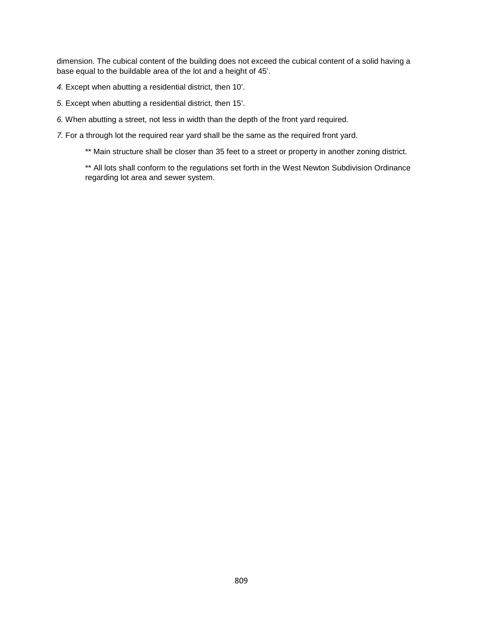dimension. The cubical content of the building does not exceed the cubical content of a solid having a base equal to the buildable area of the lot and a height of 45'.

*4.* Except when abutting a residential district, then 10'.

*5.* Except when abutting a residential district, then 15'.

*6.* When abutting a street, not less in width than the depth of the front yard required.

*7.* For a through lot the required rear yard shall be the same as the required front yard.

\*\* Main structure shall be closer than 35 feet to a street or property in another zoning district.

\*\* All lots shall conform to the regulations set forth in the West Newton Subdivision Ordinance regarding lot area and sewer system.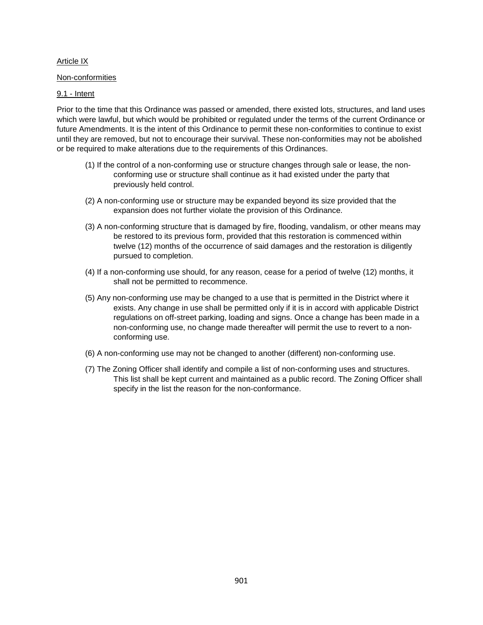#### <span id="page-35-0"></span>Article IX

#### Non-conformities

# 9.1 - Intent

Prior to the time that this Ordinance was passed or amended, there existed lots, structures, and land uses which were lawful, but which would be prohibited or regulated under the terms of the current Ordinance or future Amendments. It is the intent of this Ordinance to permit these non-conformities to continue to exist until they are removed, but not to encourage their survival. These non-conformities may not be abolished or be required to make alterations due to the requirements of this Ordinances.

- (1) If the control of a non-conforming use or structure changes through sale or lease, the nonconforming use or structure shall continue as it had existed under the party that previously held control.
- (2) A non-conforming use or structure may be expanded beyond its size provided that the expansion does not further violate the provision of this Ordinance.
- (3) A non-conforming structure that is damaged by fire, flooding, vandalism, or other means may be restored to its previous form, provided that this restoration is commenced within twelve (12) months of the occurrence of said damages and the restoration is diligently pursued to completion.
- (4) If a non-conforming use should, for any reason, cease for a period of twelve (12) months, it shall not be permitted to recommence.
- (5) Any non-conforming use may be changed to a use that is permitted in the District where it exists. Any change in use shall be permitted only if it is in accord with applicable District regulations on off-street parking, loading and signs. Once a change has been made in a non-conforming use, no change made thereafter will permit the use to revert to a nonconforming use.
- (6) A non-conforming use may not be changed to another (different) non-conforming use.
- (7) The Zoning Officer shall identify and compile a list of non-conforming uses and structures. This list shall be kept current and maintained as a public record. The Zoning Officer shall specify in the list the reason for the non-conformance.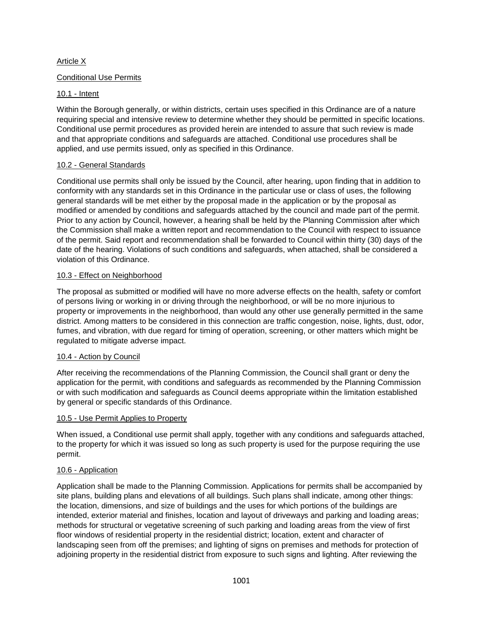# <span id="page-36-0"></span>Article X

# Conditional Use Permits

# 10.1 - Intent

Within the Borough generally, or within districts, certain uses specified in this Ordinance are of a nature requiring special and intensive review to determine whether they should be permitted in specific locations. Conditional use permit procedures as provided herein are intended to assure that such review is made and that appropriate conditions and safeguards are attached. Conditional use procedures shall be applied, and use permits issued, only as specified in this Ordinance.

# 10.2 - General Standards

Conditional use permits shall only be issued by the Council, after hearing, upon finding that in addition to conformity with any standards set in this Ordinance in the particular use or class of uses, the following general standards will be met either by the proposal made in the application or by the proposal as modified or amended by conditions and safeguards attached by the council and made part of the permit. Prior to any action by Council, however, a hearing shall be held by the Planning Commission after which the Commission shall make a written report and recommendation to the Council with respect to issuance of the permit. Said report and recommendation shall be forwarded to Council within thirty (30) days of the date of the hearing. Violations of such conditions and safeguards, when attached, shall be considered a violation of this Ordinance.

#### 10.3 - Effect on Neighborhood

The proposal as submitted or modified will have no more adverse effects on the health, safety or comfort of persons living or working in or driving through the neighborhood, or will be no more injurious to property or improvements in the neighborhood, than would any other use generally permitted in the same district. Among matters to be considered in this connection are traffic congestion, noise, lights, dust, odor, fumes, and vibration, with due regard for timing of operation, screening, or other matters which might be regulated to mitigate adverse impact.

# 10.4 - Action by Council

After receiving the recommendations of the Planning Commission, the Council shall grant or deny the application for the permit, with conditions and safeguards as recommended by the Planning Commission or with such modification and safeguards as Council deems appropriate within the limitation established by general or specific standards of this Ordinance.

#### 10.5 - Use Permit Applies to Property

When issued, a Conditional use permit shall apply, together with any conditions and safeguards attached, to the property for which it was issued so long as such property is used for the purpose requiring the use permit.

# 10.6 - Application

Application shall be made to the Planning Commission. Applications for permits shall be accompanied by site plans, building plans and elevations of all buildings. Such plans shall indicate, among other things: the location, dimensions, and size of buildings and the uses for which portions of the buildings are intended, exterior material and finishes, location and layout of driveways and parking and loading areas; methods for structural or vegetative screening of such parking and loading areas from the view of first floor windows of residential property in the residential district; location, extent and character of landscaping seen from off the premises; and lighting of signs on premises and methods for protection of adjoining property in the residential district from exposure to such signs and lighting. After reviewing the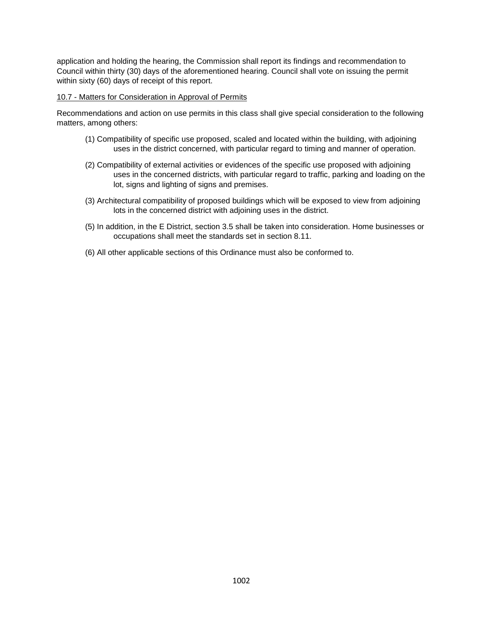application and holding the hearing, the Commission shall report its findings and recommendation to Council within thirty (30) days of the aforementioned hearing. Council shall vote on issuing the permit within sixty (60) days of receipt of this report.

#### 10.7 - Matters for Consideration in Approval of Permits

Recommendations and action on use permits in this class shall give special consideration to the following matters, among others:

- (1) Compatibility of specific use proposed, scaled and located within the building, with adjoining uses in the district concerned, with particular regard to timing and manner of operation.
- (2) Compatibility of external activities or evidences of the specific use proposed with adjoining uses in the concerned districts, with particular regard to traffic, parking and loading on the lot, signs and lighting of signs and premises.
- (3) Architectural compatibility of proposed buildings which will be exposed to view from adjoining lots in the concerned district with adjoining uses in the district.
- (5) In addition, in the E District, section 3.5 shall be taken into consideration. Home businesses or occupations shall meet the standards set in section 8.11.
- (6) All other applicable sections of this Ordinance must also be conformed to.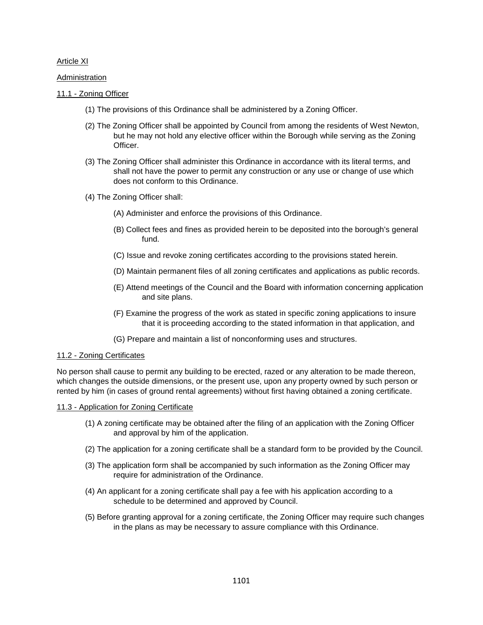#### <span id="page-38-0"></span>Article XI

**Administration** 

#### 11.1 - Zoning Officer

- (1) The provisions of this Ordinance shall be administered by a Zoning Officer.
- (2) The Zoning Officer shall be appointed by Council from among the residents of West Newton, but he may not hold any elective officer within the Borough while serving as the Zoning Officer.
- (3) The Zoning Officer shall administer this Ordinance in accordance with its literal terms, and shall not have the power to permit any construction or any use or change of use which does not conform to this Ordinance.
- (4) The Zoning Officer shall:
	- (A) Administer and enforce the provisions of this Ordinance.
	- (B) Collect fees and fines as provided herein to be deposited into the borough's general fund.
	- (C) Issue and revoke zoning certificates according to the provisions stated herein.
	- (D) Maintain permanent files of all zoning certificates and applications as public records.
	- (E) Attend meetings of the Council and the Board with information concerning application and site plans.
	- (F) Examine the progress of the work as stated in specific zoning applications to insure that it is proceeding according to the stated information in that application, and
	- (G) Prepare and maintain a list of nonconforming uses and structures.

#### 11.2 - Zoning Certificates

No person shall cause to permit any building to be erected, razed or any alteration to be made thereon, which changes the outside dimensions, or the present use, upon any property owned by such person or rented by him (in cases of ground rental agreements) without first having obtained a zoning certificate.

#### 11.3 - Application for Zoning Certificate

- (1) A zoning certificate may be obtained after the filing of an application with the Zoning Officer and approval by him of the application.
- (2) The application for a zoning certificate shall be a standard form to be provided by the Council.
- (3) The application form shall be accompanied by such information as the Zoning Officer may require for administration of the Ordinance.
- (4) An applicant for a zoning certificate shall pay a fee with his application according to a schedule to be determined and approved by Council.
- (5) Before granting approval for a zoning certificate, the Zoning Officer may require such changes in the plans as may be necessary to assure compliance with this Ordinance.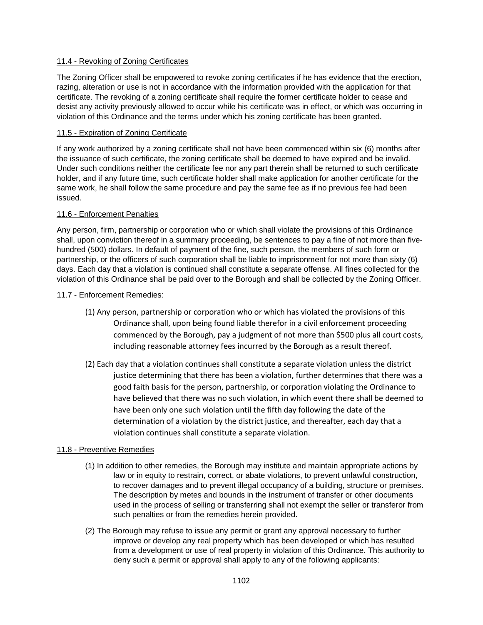# 11.4 - Revoking of Zoning Certificates

The Zoning Officer shall be empowered to revoke zoning certificates if he has evidence that the erection, razing, alteration or use is not in accordance with the information provided with the application for that certificate. The revoking of a zoning certificate shall require the former certificate holder to cease and desist any activity previously allowed to occur while his certificate was in effect, or which was occurring in violation of this Ordinance and the terms under which his zoning certificate has been granted.

# 11.5 - Expiration of Zoning Certificate

If any work authorized by a zoning certificate shall not have been commenced within six (6) months after the issuance of such certificate, the zoning certificate shall be deemed to have expired and be invalid. Under such conditions neither the certificate fee nor any part therein shall be returned to such certificate holder, and if any future time, such certificate holder shall make application for another certificate for the same work, he shall follow the same procedure and pay the same fee as if no previous fee had been issued.

# 11.6 - Enforcement Penalties

Any person, firm, partnership or corporation who or which shall violate the provisions of this Ordinance shall, upon conviction thereof in a summary proceeding, be sentences to pay a fine of not more than fivehundred (500) dollars. In default of payment of the fine, such person, the members of such form or partnership, or the officers of such corporation shall be liable to imprisonment for not more than sixty (6) days. Each day that a violation is continued shall constitute a separate offense. All fines collected for the violation of this Ordinance shall be paid over to the Borough and shall be collected by the Zoning Officer.

# 11.7 - Enforcement Remedies:

- (1) Any person, partnership or corporation who or which has violated the provisions of this Ordinance shall, upon being found liable therefor in a civil enforcement proceeding commenced by the Borough, pay a judgment of not more than \$500 plus all court costs, including reasonable attorney fees incurred by the Borough as a result thereof.
- (2) Each day that a violation continues shall constitute a separate violation unless the district justice determining that there has been a violation, further determines that there was a good faith basis for the person, partnership, or corporation violating the Ordinance to have believed that there was no such violation, in which event there shall be deemed to have been only one such violation until the fifth day following the date of the determination of a violation by the district justice, and thereafter, each day that a violation continues shall constitute a separate violation.

# 11.8 - Preventive Remedies

- (1) In addition to other remedies, the Borough may institute and maintain appropriate actions by law or in equity to restrain, correct, or abate violations, to prevent unlawful construction, to recover damages and to prevent illegal occupancy of a building, structure or premises. The description by metes and bounds in the instrument of transfer or other documents used in the process of selling or transferring shall not exempt the seller or transferor from such penalties or from the remedies herein provided.
- (2) The Borough may refuse to issue any permit or grant any approval necessary to further improve or develop any real property which has been developed or which has resulted from a development or use of real property in violation of this Ordinance. This authority to deny such a permit or approval shall apply to any of the following applicants: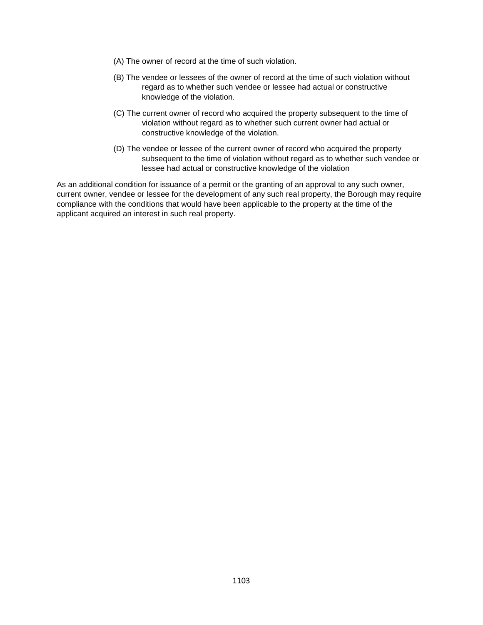- (A) The owner of record at the time of such violation.
- (B) The vendee or lessees of the owner of record at the time of such violation without regard as to whether such vendee or lessee had actual or constructive knowledge of the violation.
- (C) The current owner of record who acquired the property subsequent to the time of violation without regard as to whether such current owner had actual or constructive knowledge of the violation.
- (D) The vendee or lessee of the current owner of record who acquired the property subsequent to the time of violation without regard as to whether such vendee or lessee had actual or constructive knowledge of the violation

As an additional condition for issuance of a permit or the granting of an approval to any such owner, current owner, vendee or lessee for the development of any such real property, the Borough may require compliance with the conditions that would have been applicable to the property at the time of the applicant acquired an interest in such real property.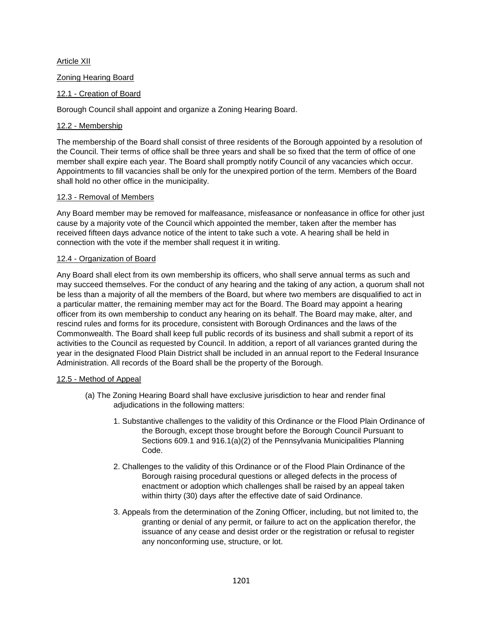# <span id="page-41-0"></span>Article XII

# Zoning Hearing Board

# 12.1 - Creation of Board

Borough Council shall appoint and organize a Zoning Hearing Board.

# 12.2 - Membership

The membership of the Board shall consist of three residents of the Borough appointed by a resolution of the Council. Their terms of office shall be three years and shall be so fixed that the term of office of one member shall expire each year. The Board shall promptly notify Council of any vacancies which occur. Appointments to fill vacancies shall be only for the unexpired portion of the term. Members of the Board shall hold no other office in the municipality.

# 12.3 - Removal of Members

Any Board member may be removed for malfeasance, misfeasance or nonfeasance in office for other just cause by a majority vote of the Council which appointed the member, taken after the member has received fifteen days advance notice of the intent to take such a vote. A hearing shall be held in connection with the vote if the member shall request it in writing.

# 12.4 - Organization of Board

Any Board shall elect from its own membership its officers, who shall serve annual terms as such and may succeed themselves. For the conduct of any hearing and the taking of any action, a quorum shall not be less than a majority of all the members of the Board, but where two members are disqualified to act in a particular matter, the remaining member may act for the Board. The Board may appoint a hearing officer from its own membership to conduct any hearing on its behalf. The Board may make, alter, and rescind rules and forms for its procedure, consistent with Borough Ordinances and the laws of the Commonwealth. The Board shall keep full public records of its business and shall submit a report of its activities to the Council as requested by Council. In addition, a report of all variances granted during the year in the designated Flood Plain District shall be included in an annual report to the Federal Insurance Administration. All records of the Board shall be the property of the Borough.

# 12.5 - Method of Appeal

- (a) The Zoning Hearing Board shall have exclusive jurisdiction to hear and render final adjudications in the following matters:
	- 1. Substantive challenges to the validity of this Ordinance or the Flood Plain Ordinance of the Borough, except those brought before the Borough Council Pursuant to Sections 609.1 and 916.1(a)(2) of the Pennsylvania Municipalities Planning Code.
	- 2. Challenges to the validity of this Ordinance or of the Flood Plain Ordinance of the Borough raising procedural questions or alleged defects in the process of enactment or adoption which challenges shall be raised by an appeal taken within thirty (30) days after the effective date of said Ordinance.
	- 3. Appeals from the determination of the Zoning Officer, including, but not limited to, the granting or denial of any permit, or failure to act on the application therefor, the issuance of any cease and desist order or the registration or refusal to register any nonconforming use, structure, or lot.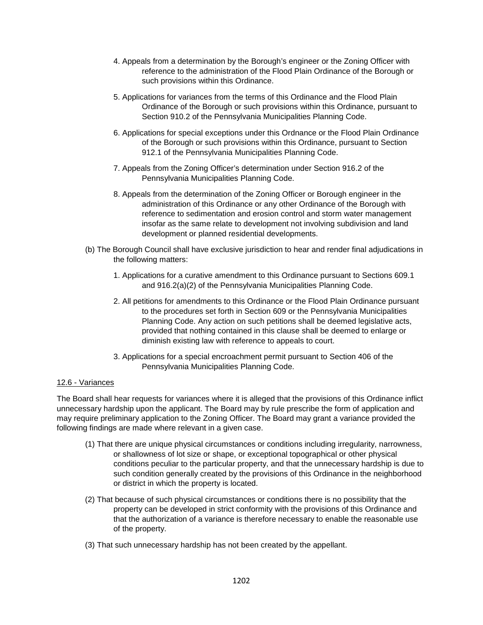- 4. Appeals from a determination by the Borough's engineer or the Zoning Officer with reference to the administration of the Flood Plain Ordinance of the Borough or such provisions within this Ordinance.
- 5. Applications for variances from the terms of this Ordinance and the Flood Plain Ordinance of the Borough or such provisions within this Ordinance, pursuant to Section 910.2 of the Pennsylvania Municipalities Planning Code.
- 6. Applications for special exceptions under this Ordnance or the Flood Plain Ordinance of the Borough or such provisions within this Ordinance, pursuant to Section 912.1 of the Pennsylvania Municipalities Planning Code.
- 7. Appeals from the Zoning Officer's determination under Section 916.2 of the Pennsylvania Municipalities Planning Code.
- 8. Appeals from the determination of the Zoning Officer or Borough engineer in the administration of this Ordinance or any other Ordinance of the Borough with reference to sedimentation and erosion control and storm water management insofar as the same relate to development not involving subdivision and land development or planned residential developments.
- (b) The Borough Council shall have exclusive jurisdiction to hear and render final adjudications in the following matters:
	- 1. Applications for a curative amendment to this Ordinance pursuant to Sections 609.1 and 916.2(a)(2) of the Pennsylvania Municipalities Planning Code.
	- 2. All petitions for amendments to this Ordinance or the Flood Plain Ordinance pursuant to the procedures set forth in Section 609 or the Pennsylvania Municipalities Planning Code. Any action on such petitions shall be deemed legislative acts, provided that nothing contained in this clause shall be deemed to enlarge or diminish existing law with reference to appeals to court.
	- 3. Applications for a special encroachment permit pursuant to Section 406 of the Pennsylvania Municipalities Planning Code.

# 12.6 - Variances

The Board shall hear requests for variances where it is alleged that the provisions of this Ordinance inflict unnecessary hardship upon the applicant. The Board may by rule prescribe the form of application and may require preliminary application to the Zoning Officer. The Board may grant a variance provided the following findings are made where relevant in a given case.

- (1) That there are unique physical circumstances or conditions including irregularity, narrowness, or shallowness of lot size or shape, or exceptional topographical or other physical conditions peculiar to the particular property, and that the unnecessary hardship is due to such condition generally created by the provisions of this Ordinance in the neighborhood or district in which the property is located.
- (2) That because of such physical circumstances or conditions there is no possibility that the property can be developed in strict conformity with the provisions of this Ordinance and that the authorization of a variance is therefore necessary to enable the reasonable use of the property.
- (3) That such unnecessary hardship has not been created by the appellant.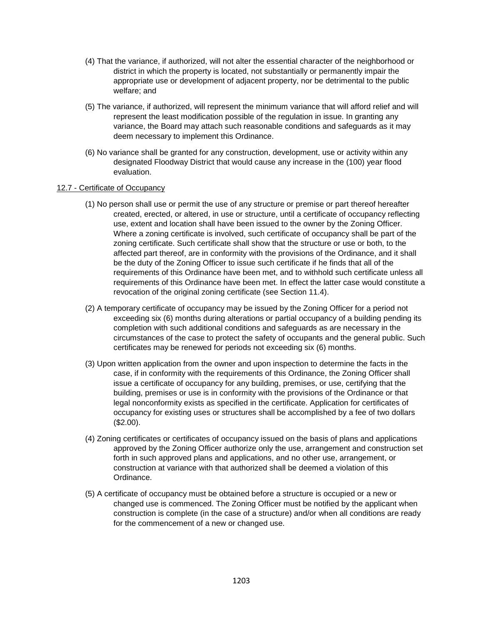- (4) That the variance, if authorized, will not alter the essential character of the neighborhood or district in which the property is located, not substantially or permanently impair the appropriate use or development of adjacent property, nor be detrimental to the public welfare; and
- (5) The variance, if authorized, will represent the minimum variance that will afford relief and will represent the least modification possible of the regulation in issue. In granting any variance, the Board may attach such reasonable conditions and safeguards as it may deem necessary to implement this Ordinance.
- (6) No variance shall be granted for any construction, development, use or activity within any designated Floodway District that would cause any increase in the (100) year flood evaluation.

#### 12.7 - Certificate of Occupancy

- (1) No person shall use or permit the use of any structure or premise or part thereof hereafter created, erected, or altered, in use or structure, until a certificate of occupancy reflecting use, extent and location shall have been issued to the owner by the Zoning Officer. Where a zoning certificate is involved, such certificate of occupancy shall be part of the zoning certificate. Such certificate shall show that the structure or use or both, to the affected part thereof, are in conformity with the provisions of the Ordinance, and it shall be the duty of the Zoning Officer to issue such certificate if he finds that all of the requirements of this Ordinance have been met, and to withhold such certificate unless all requirements of this Ordinance have been met. In effect the latter case would constitute a revocation of the original zoning certificate (see Section 11.4).
- (2) A temporary certificate of occupancy may be issued by the Zoning Officer for a period not exceeding six (6) months during alterations or partial occupancy of a building pending its completion with such additional conditions and safeguards as are necessary in the circumstances of the case to protect the safety of occupants and the general public. Such certificates may be renewed for periods not exceeding six (6) months.
- (3) Upon written application from the owner and upon inspection to determine the facts in the case, if in conformity with the requirements of this Ordinance, the Zoning Officer shall issue a certificate of occupancy for any building, premises, or use, certifying that the building, premises or use is in conformity with the provisions of the Ordinance or that legal nonconformity exists as specified in the certificate. Application for certificates of occupancy for existing uses or structures shall be accomplished by a fee of two dollars (\$2.00).
- (4) Zoning certificates or certificates of occupancy issued on the basis of plans and applications approved by the Zoning Officer authorize only the use, arrangement and construction set forth in such approved plans and applications, and no other use, arrangement, or construction at variance with that authorized shall be deemed a violation of this Ordinance.
- (5) A certificate of occupancy must be obtained before a structure is occupied or a new or changed use is commenced. The Zoning Officer must be notified by the applicant when construction is complete (in the case of a structure) and/or when all conditions are ready for the commencement of a new or changed use.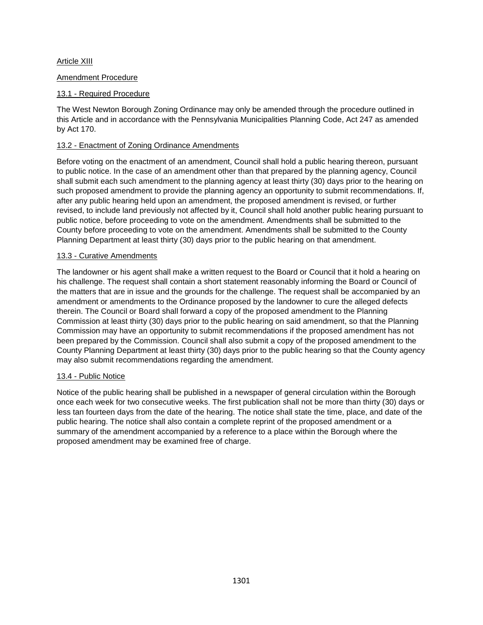# <span id="page-44-0"></span>Article XIII

# Amendment Procedure

# 13.1 - Required Procedure

The West Newton Borough Zoning Ordinance may only be amended through the procedure outlined in this Article and in accordance with the Pennsylvania Municipalities Planning Code, Act 247 as amended by Act 170.

# 13.2 - Enactment of Zoning Ordinance Amendments

Before voting on the enactment of an amendment, Council shall hold a public hearing thereon, pursuant to public notice. In the case of an amendment other than that prepared by the planning agency, Council shall submit each such amendment to the planning agency at least thirty (30) days prior to the hearing on such proposed amendment to provide the planning agency an opportunity to submit recommendations. If, after any public hearing held upon an amendment, the proposed amendment is revised, or further revised, to include land previously not affected by it, Council shall hold another public hearing pursuant to public notice, before proceeding to vote on the amendment. Amendments shall be submitted to the County before proceeding to vote on the amendment. Amendments shall be submitted to the County Planning Department at least thirty (30) days prior to the public hearing on that amendment.

#### 13.3 - Curative Amendments

The landowner or his agent shall make a written request to the Board or Council that it hold a hearing on his challenge. The request shall contain a short statement reasonably informing the Board or Council of the matters that are in issue and the grounds for the challenge. The request shall be accompanied by an amendment or amendments to the Ordinance proposed by the landowner to cure the alleged defects therein. The Council or Board shall forward a copy of the proposed amendment to the Planning Commission at least thirty (30) days prior to the public hearing on said amendment, so that the Planning Commission may have an opportunity to submit recommendations if the proposed amendment has not been prepared by the Commission. Council shall also submit a copy of the proposed amendment to the County Planning Department at least thirty (30) days prior to the public hearing so that the County agency may also submit recommendations regarding the amendment.

# 13.4 - Public Notice

Notice of the public hearing shall be published in a newspaper of general circulation within the Borough once each week for two consecutive weeks. The first publication shall not be more than thirty (30) days or less tan fourteen days from the date of the hearing. The notice shall state the time, place, and date of the public hearing. The notice shall also contain a complete reprint of the proposed amendment or a summary of the amendment accompanied by a reference to a place within the Borough where the proposed amendment may be examined free of charge.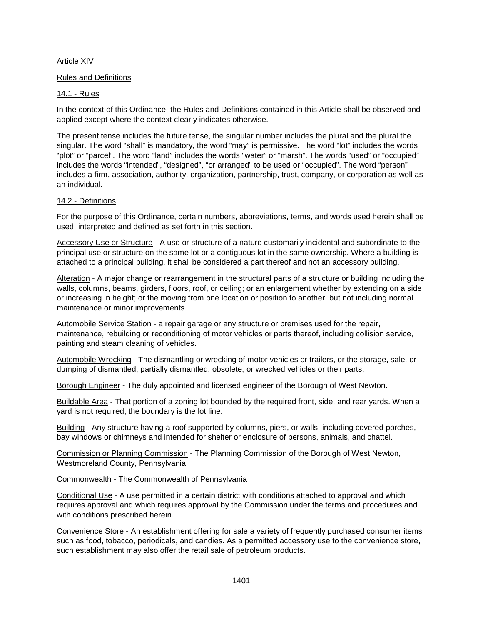# <span id="page-45-0"></span>Article XIV

#### Rules and Definitions

#### 14.1 - Rules

In the context of this Ordinance, the Rules and Definitions contained in this Article shall be observed and applied except where the context clearly indicates otherwise.

The present tense includes the future tense, the singular number includes the plural and the plural the singular. The word "shall" is mandatory, the word "may" is permissive. The word "lot" includes the words "plot" or "parcel". The word "land" includes the words "water" or "marsh". The words "used" or "occupied" includes the words "intended", "designed", "or arranged" to be used or "occupied". The word "person" includes a firm, association, authority, organization, partnership, trust, company, or corporation as well as an individual.

#### 14.2 - Definitions

For the purpose of this Ordinance, certain numbers, abbreviations, terms, and words used herein shall be used, interpreted and defined as set forth in this section.

Accessory Use or Structure - A use or structure of a nature customarily incidental and subordinate to the principal use or structure on the same lot or a contiguous lot in the same ownership. Where a building is attached to a principal building, it shall be considered a part thereof and not an accessory building.

Alteration - A major change or rearrangement in the structural parts of a structure or building including the walls, columns, beams, girders, floors, roof, or ceiling; or an enlargement whether by extending on a side or increasing in height; or the moving from one location or position to another; but not including normal maintenance or minor improvements.

Automobile Service Station - a repair garage or any structure or premises used for the repair, maintenance, rebuilding or reconditioning of motor vehicles or parts thereof, including collision service, painting and steam cleaning of vehicles.

Automobile Wrecking - The dismantling or wrecking of motor vehicles or trailers, or the storage, sale, or dumping of dismantled, partially dismantled, obsolete, or wrecked vehicles or their parts.

Borough Engineer - The duly appointed and licensed engineer of the Borough of West Newton.

Buildable Area - That portion of a zoning lot bounded by the required front, side, and rear yards. When a yard is not required, the boundary is the lot line.

Building - Any structure having a roof supported by columns, piers, or walls, including covered porches, bay windows or chimneys and intended for shelter or enclosure of persons, animals, and chattel.

Commission or Planning Commission - The Planning Commission of the Borough of West Newton, Westmoreland County, Pennsylvania

Commonwealth - The Commonwealth of Pennsylvania

Conditional Use - A use permitted in a certain district with conditions attached to approval and which requires approval and which requires approval by the Commission under the terms and procedures and with conditions prescribed herein.

Convenience Store - An establishment offering for sale a variety of frequently purchased consumer items such as food, tobacco, periodicals, and candies. As a permitted accessory use to the convenience store, such establishment may also offer the retail sale of petroleum products.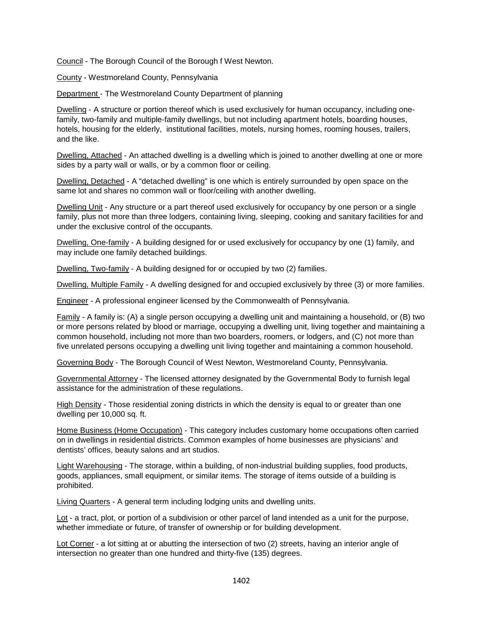Council - The Borough Council of the Borough f West Newton.

County - Westmoreland County, Pennsylvania

Department - The Westmoreland County Department of planning

Dwelling - A structure or portion thereof which is used exclusively for human occupancy, including onefamily, two-family and multiple-family dwellings, but not including apartment hotels, boarding houses, hotels, housing for the elderly, institutional facilities, motels, nursing homes, rooming houses, trailers, and the like.

Dwelling, Attached - An attached dwelling is a dwelling which is joined to another dwelling at one or more sides by a party wall or walls, or by a common floor or ceiling.

Dwelling, Detached - A "detached dwelling" is one which is entirely surrounded by open space on the same lot and shares no common wall or floor/ceiling with another dwelling.

Dwelling Unit - Any structure or a part thereof used exclusively for occupancy by one person or a single family, plus not more than three lodgers, containing living, sleeping, cooking and sanitary facilities for and under the exclusive control of the occupants.

Dwelling, One-family - A building designed for or used exclusively for occupancy by one (1) family, and may include one family detached buildings.

Dwelling, Two-family - A building designed for or occupied by two (2) families.

Dwelling, Multiple Family - A dwelling designed for and occupied exclusively by three (3) or more families.

Engineer - A professional engineer licensed by the Commonwealth of Pennsylvania.

Family - A family is: (A) a single person occupying a dwelling unit and maintaining a household, or (B) two or more persons related by blood or marriage, occupying a dwelling unit, living together and maintaining a common household, including not more than two boarders, roomers, or lodgers, and (C) not more than five unrelated persons occupying a dwelling unit living together and maintaining a common household.

Governing Body - The Borough Council of West Newton, Westmoreland County, Pennsylvania.

Governmental Attorney - The licensed attorney designated by the Governmental Body to furnish legal assistance for the administration of these regulations.

High Density - Those residential zoning districts in which the density is equal to or greater than one dwelling per 10,000 sq. ft.

Home Business (Home Occupation) - This category includes customary home occupations often carried on in dwellings in residential districts. Common examples of home businesses are physicians' and dentists' offices, beauty salons and art studios.

Light Warehousing - The storage, within a building, of non-industrial building supplies, food products, goods, appliances, small equipment, or similar items. The storage of items outside of a building is prohibited.

Living Quarters - A general term including lodging units and dwelling units.

Lot - a tract, plot, or portion of a subdivision or other parcel of land intended as a unit for the purpose, whether immediate or future, of transfer of ownership or for building development.

Lot Corner - a lot sitting at or abutting the intersection of two (2) streets, having an interior angle of intersection no greater than one hundred and thirty-five (135) degrees.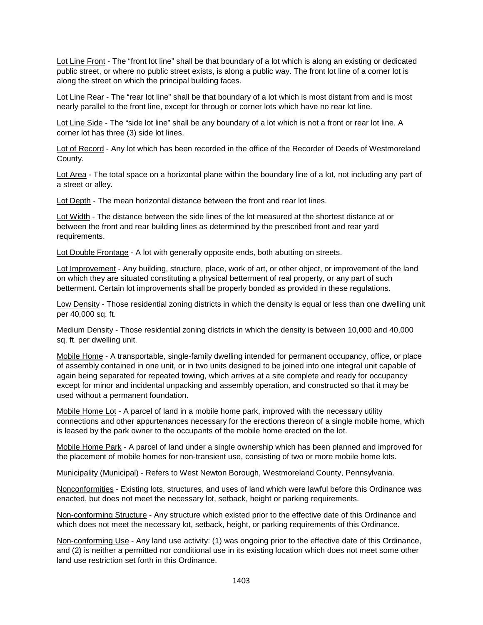Lot Line Front - The "front lot line" shall be that boundary of a lot which is along an existing or dedicated public street, or where no public street exists, is along a public way. The front lot line of a corner lot is along the street on which the principal building faces.

Lot Line Rear - The "rear lot line" shall be that boundary of a lot which is most distant from and is most nearly parallel to the front line, except for through or corner lots which have no rear lot line.

Lot Line Side - The "side lot line" shall be any boundary of a lot which is not a front or rear lot line. A corner lot has three (3) side lot lines.

Lot of Record - Any lot which has been recorded in the office of the Recorder of Deeds of Westmoreland County.

Lot Area - The total space on a horizontal plane within the boundary line of a lot, not including any part of a street or alley.

Lot Depth - The mean horizontal distance between the front and rear lot lines.

Lot Width - The distance between the side lines of the lot measured at the shortest distance at or between the front and rear building lines as determined by the prescribed front and rear yard requirements.

Lot Double Frontage - A lot with generally opposite ends, both abutting on streets.

Lot Improvement - Any building, structure, place, work of art, or other object, or improvement of the land on which they are situated constituting a physical betterment of real property, or any part of such betterment. Certain lot improvements shall be properly bonded as provided in these regulations.

Low Density - Those residential zoning districts in which the density is equal or less than one dwelling unit per 40,000 sq. ft.

Medium Density - Those residential zoning districts in which the density is between 10,000 and 40,000 sq. ft. per dwelling unit.

Mobile Home - A transportable, single-family dwelling intended for permanent occupancy, office, or place of assembly contained in one unit, or in two units designed to be joined into one integral unit capable of again being separated for repeated towing, which arrives at a site complete and ready for occupancy except for minor and incidental unpacking and assembly operation, and constructed so that it may be used without a permanent foundation.

Mobile Home Lot - A parcel of land in a mobile home park, improved with the necessary utility connections and other appurtenances necessary for the erections thereon of a single mobile home, which is leased by the park owner to the occupants of the mobile home erected on the lot.

Mobile Home Park - A parcel of land under a single ownership which has been planned and improved for the placement of mobile homes for non-transient use, consisting of two or more mobile home lots.

Municipality (Municipal) - Refers to West Newton Borough, Westmoreland County, Pennsylvania.

Nonconformities - Existing lots, structures, and uses of land which were lawful before this Ordinance was enacted, but does not meet the necessary lot, setback, height or parking requirements.

Non-conforming Structure - Any structure which existed prior to the effective date of this Ordinance and which does not meet the necessary lot, setback, height, or parking requirements of this Ordinance.

Non-conforming Use - Any land use activity: (1) was ongoing prior to the effective date of this Ordinance, and (2) is neither a permitted nor conditional use in its existing location which does not meet some other land use restriction set forth in this Ordinance.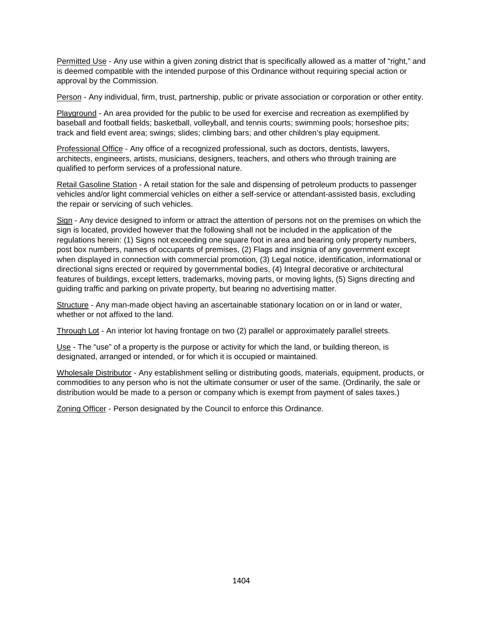Permitted Use - Any use within a given zoning district that is specifically allowed as a matter of "right," and is deemed compatible with the intended purpose of this Ordinance without requiring special action or approval by the Commission.

Person - Any individual, firm, trust, partnership, public or private association or corporation or other entity.

Playground - An area provided for the public to be used for exercise and recreation as exemplified by baseball and football fields; basketball, volleyball, and tennis courts; swimming pools; horseshoe pits; track and field event area; swings; slides; climbing bars; and other children's play equipment.

Professional Office - Any office of a recognized professional, such as doctors, dentists, lawyers, architects, engineers, artists, musicians, designers, teachers, and others who through training are qualified to perform services of a professional nature.

Retail Gasoline Station - A retail station for the sale and dispensing of petroleum products to passenger vehicles and/or light commercial vehicles on either a self-service or attendant-assisted basis, excluding the repair or servicing of such vehicles.

Sign - Any device designed to inform or attract the attention of persons not on the premises on which the sign is located, provided however that the following shall not be included in the application of the regulations herein: (1) Signs not exceeding one square foot in area and bearing only property numbers, post box numbers, names of occupants of premises, (2) Flags and insignia of any government except when displayed in connection with commercial promotion, (3) Legal notice, identification, informational or directional signs erected or required by governmental bodies, (4) Integral decorative or architectural features of buildings, except letters, trademarks, moving parts, or moving lights, (5) Signs directing and guiding traffic and parking on private property, but bearing no advertising matter.

Structure - Any man-made object having an ascertainable stationary location on or in land or water, whether or not affixed to the land.

Through Lot - An interior lot having frontage on two (2) parallel or approximately parallel streets.

Use - The "use" of a property is the purpose or activity for which the land, or building thereon, is designated, arranged or intended, or for which it is occupied or maintained.

Wholesale Distributor - Any establishment selling or distributing goods, materials, equipment, products, or commodities to any person who is not the ultimate consumer or user of the same. (Ordinarily, the sale or distribution would be made to a person or company which is exempt from payment of sales taxes.)

Zoning Officer - Person designated by the Council to enforce this Ordinance.